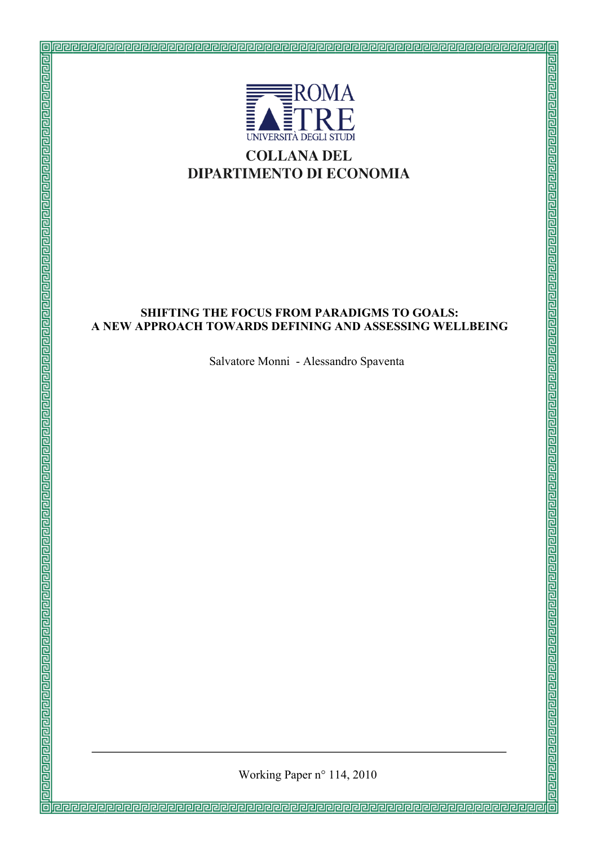

#### **SHIFTING THE FOCUS FROM PARADIGMS TO GOALS: A NEW APPROACH TOWARDS DEFINING AND ASSESSING WELLBEING**

Salvatore Monni - Alessandro Spaventa

Working Paper n° 114, 2010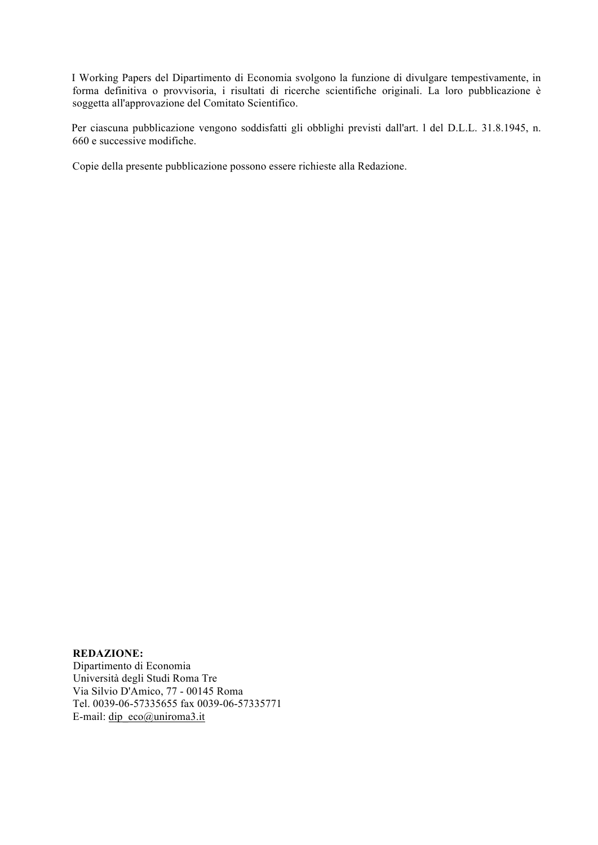I Working Papers del Dipartimento di Economia svolgono la funzione di divulgare tempestivamente, in forma definitiva o provvisoria, i risultati di ricerche scientifiche originali. La loro pubblicazione è soggetta all'approvazione del Comitato Scientifico.

 Per ciascuna pubblicazione vengono soddisfatti gli obblighi previsti dall'art. l del D.L.L. 31.8.1945, n. 660 e successive modifiche.

Copie della presente pubblicazione possono essere richieste alla Redazione.

#### **REDAZIONE:**

Dipartimento di Economia Università degli Studi Roma Tre Via Silvio D'Amico, 77 - 00145 Roma Tel. 0039-06-57335655 fax 0039-06-57335771 E-mail: dip\_eco@uniroma3.it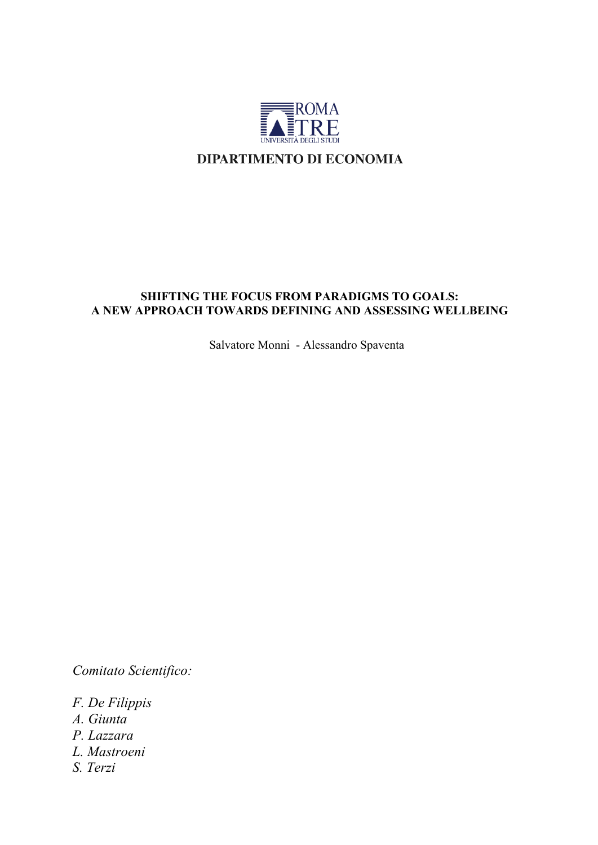

## **SHIFTING THE FOCUS FROM PARADIGMS TO GOALS: A NEW APPROACH TOWARDS DEFINING AND ASSESSING WELLBEING**

Salvatore Monni - Alessandro Spaventa

*Comitato Scientifico:*

- *F. De Filippis*
- *A. Giunta*
- *P. Lazzara*
- *L. Mastroeni*
- *S. Terzi*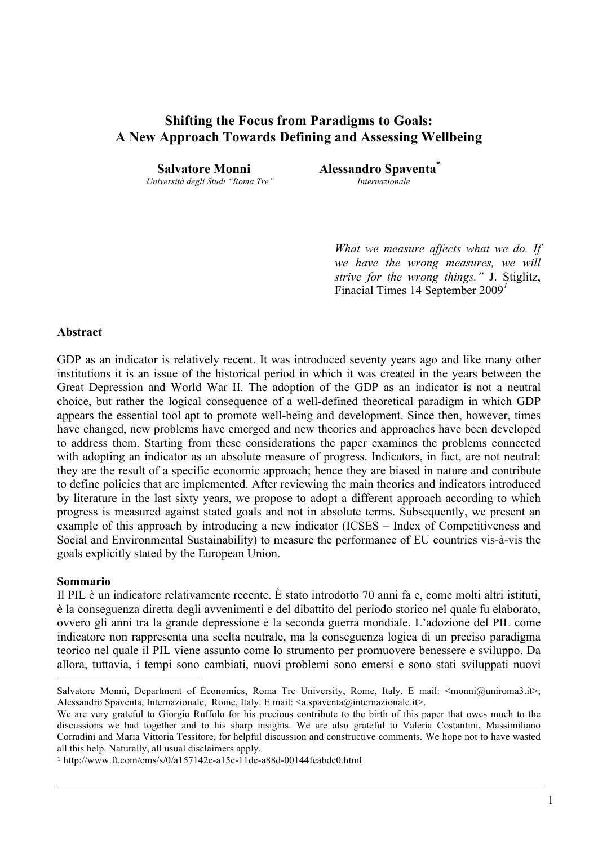# **Shifting the Focus from Paradigms to Goals: A New Approach Towards Defining and Assessing Wellbeing**

*Università degli Studi "Roma Tre" Internazionale* 

**Salvatore Monni Alessandro Spaventa\*** 

*What we measure affects what we do. If we have the wrong measures, we will strive for the wrong things."* J. Stiglitz, Finacial Times 14 September 2009*<sup>1</sup>*

#### **Abstract**

GDP as an indicator is relatively recent. It was introduced seventy years ago and like many other institutions it is an issue of the historical period in which it was created in the years between the Great Depression and World War II. The adoption of the GDP as an indicator is not a neutral choice, but rather the logical consequence of a well-defined theoretical paradigm in which GDP appears the essential tool apt to promote well-being and development. Since then, however, times have changed, new problems have emerged and new theories and approaches have been developed to address them. Starting from these considerations the paper examines the problems connected with adopting an indicator as an absolute measure of progress. Indicators, in fact, are not neutral: they are the result of a specific economic approach; hence they are biased in nature and contribute to define policies that are implemented. After reviewing the main theories and indicators introduced by literature in the last sixty years, we propose to adopt a different approach according to which progress is measured against stated goals and not in absolute terms. Subsequently, we present an example of this approach by introducing a new indicator (ICSES – Index of Competitiveness and Social and Environmental Sustainability) to measure the performance of EU countries vis-à-vis the goals explicitly stated by the European Union.

#### **Sommario**

 $\overline{a}$ 

Il PIL è un indicatore relativamente recente. È stato introdotto 70 anni fa e, come molti altri istituti, è la conseguenza diretta degli avvenimenti e del dibattito del periodo storico nel quale fu elaborato, ovvero gli anni tra la grande depressione e la seconda guerra mondiale. L'adozione del PIL come indicatore non rappresenta una scelta neutrale, ma la conseguenza logica di un preciso paradigma teorico nel quale il PIL viene assunto come lo strumento per promuovere benessere e sviluppo. Da allora, tuttavia, i tempi sono cambiati, nuovi problemi sono emersi e sono stati sviluppati nuovi

Salvatore Monni, Department of Economics, Roma Tre University, Rome, Italy. E mail: <monni@uniroma3.it>; Alessandro Spaventa, Internazionale, Rome, Italy. E mail:  $\langle a$ .spaventa@internazionale.it>.

We are very grateful to Giorgio Ruffolo for his precious contribute to the birth of this paper that owes much to the discussions we had together and to his sharp insights. We are also grateful to Valeria Costantini, Massimiliano Corradini and Maria Vittoria Tessitore, for helpful discussion and constructive comments. We hope not to have wasted all this help. Naturally, all usual disclaimers apply.

<sup>1</sup> http://www.ft.com/cms/s/0/a157142e-a15c-11de-a88d-00144feabdc0.html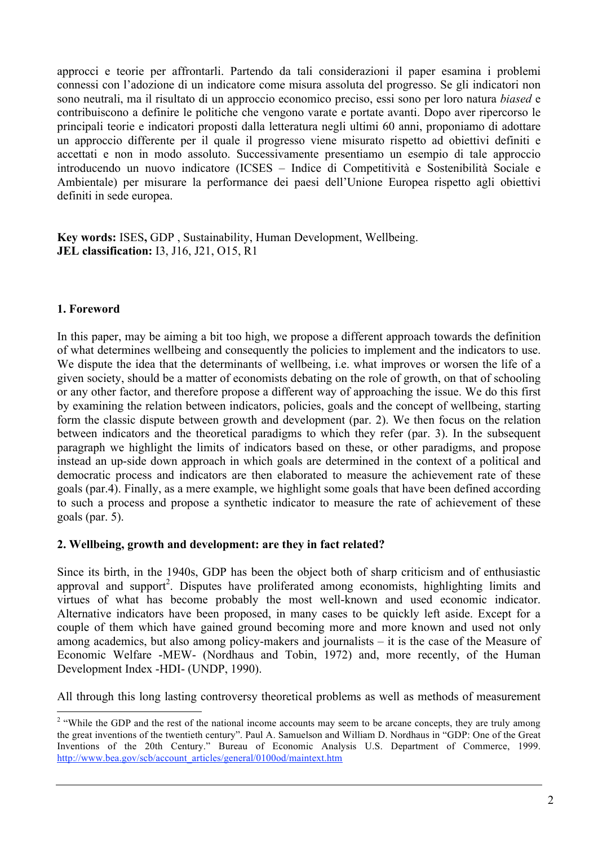approcci e teorie per affrontarli. Partendo da tali considerazioni il paper esamina i problemi connessi con l'adozione di un indicatore come misura assoluta del progresso. Se gli indicatori non sono neutrali, ma il risultato di un approccio economico preciso, essi sono per loro natura *biased* e contribuiscono a definire le politiche che vengono varate e portate avanti. Dopo aver ripercorso le principali teorie e indicatori proposti dalla letteratura negli ultimi 60 anni, proponiamo di adottare un approccio differente per il quale il progresso viene misurato rispetto ad obiettivi definiti e accettati e non in modo assoluto. Successivamente presentiamo un esempio di tale approccio introducendo un nuovo indicatore (ICSES – Indice di Competitività e Sostenibilità Sociale e Ambientale) per misurare la performance dei paesi dell'Unione Europea rispetto agli obiettivi definiti in sede europea.

**Key words:** ISES**,** GDP , Sustainability, Human Development, Wellbeing. **JEL classification:** I3, J16, J21, O15, R1

#### **1. Foreword**

In this paper, may be aiming a bit too high, we propose a different approach towards the definition of what determines wellbeing and consequently the policies to implement and the indicators to use. We dispute the idea that the determinants of wellbeing, i.e. what improves or worsen the life of a given society, should be a matter of economists debating on the role of growth, on that of schooling or any other factor, and therefore propose a different way of approaching the issue. We do this first by examining the relation between indicators, policies, goals and the concept of wellbeing, starting form the classic dispute between growth and development (par. 2). We then focus on the relation between indicators and the theoretical paradigms to which they refer (par. 3). In the subsequent paragraph we highlight the limits of indicators based on these, or other paradigms, and propose instead an up-side down approach in which goals are determined in the context of a political and democratic process and indicators are then elaborated to measure the achievement rate of these goals (par.4). Finally, as a mere example, we highlight some goals that have been defined according to such a process and propose a synthetic indicator to measure the rate of achievement of these goals (par. 5).

#### **2. Wellbeing, growth and development: are they in fact related?**

Since its birth, in the 1940s, GDP has been the object both of sharp criticism and of enthusiastic approval and support<sup>2</sup>. Disputes have proliferated among economists, highlighting limits and virtues of what has become probably the most well-known and used economic indicator. Alternative indicators have been proposed, in many cases to be quickly left aside. Except for a couple of them which have gained ground becoming more and more known and used not only among academics, but also among policy-makers and journalists – it is the case of the Measure of Economic Welfare -MEW- (Nordhaus and Tobin, 1972) and, more recently, of the Human Development Index -HDI- (UNDP, 1990).

All through this long lasting controversy theoretical problems as well as methods of measurement

 $\frac{1}{2}$ <sup>2</sup> "While the GDP and the rest of the national income accounts may seem to be arcane concepts, they are truly among the great inventions of the twentieth century". Paul A. Samuelson and William D. Nordhaus in "GDP: One of the Great Inventions of the 20th Century." Bureau of Economic Analysis U.S. Department of Commerce, 1999. http://www.bea.gov/scb/account\_articles/general/0100od/maintext.htm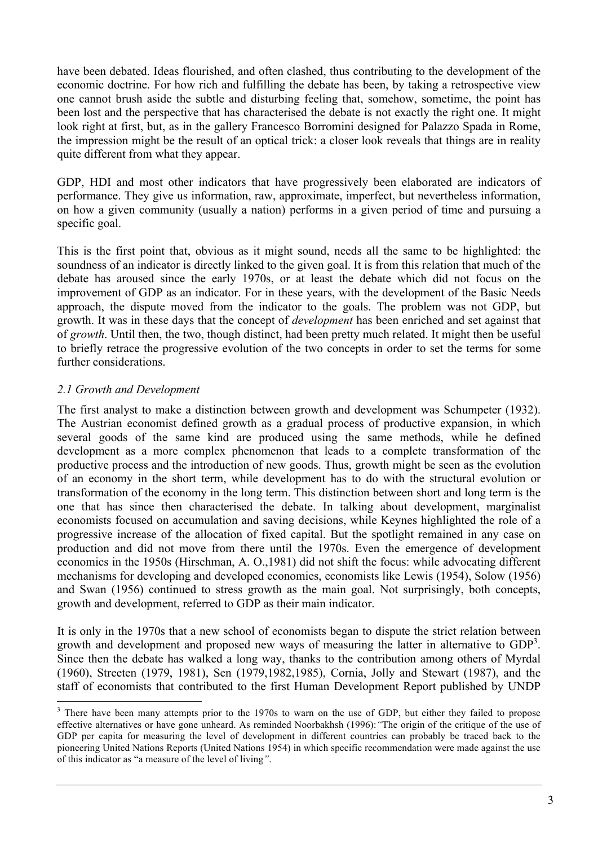have been debated. Ideas flourished, and often clashed, thus contributing to the development of the economic doctrine. For how rich and fulfilling the debate has been, by taking a retrospective view one cannot brush aside the subtle and disturbing feeling that, somehow, sometime, the point has been lost and the perspective that has characterised the debate is not exactly the right one. It might look right at first, but, as in the gallery Francesco Borromini designed for Palazzo Spada in Rome, the impression might be the result of an optical trick: a closer look reveals that things are in reality quite different from what they appear.

GDP, HDI and most other indicators that have progressively been elaborated are indicators of performance. They give us information, raw, approximate, imperfect, but nevertheless information, on how a given community (usually a nation) performs in a given period of time and pursuing a specific goal.

This is the first point that, obvious as it might sound, needs all the same to be highlighted: the soundness of an indicator is directly linked to the given goal. It is from this relation that much of the debate has aroused since the early 1970s, or at least the debate which did not focus on the improvement of GDP as an indicator. For in these years, with the development of the Basic Needs approach, the dispute moved from the indicator to the goals. The problem was not GDP, but growth. It was in these days that the concept of *development* has been enriched and set against that of *growth*. Until then, the two, though distinct, had been pretty much related. It might then be useful to briefly retrace the progressive evolution of the two concepts in order to set the terms for some further considerations.

## *2.1 Growth and Development*

The first analyst to make a distinction between growth and development was Schumpeter (1932). The Austrian economist defined growth as a gradual process of productive expansion, in which several goods of the same kind are produced using the same methods, while he defined development as a more complex phenomenon that leads to a complete transformation of the productive process and the introduction of new goods. Thus, growth might be seen as the evolution of an economy in the short term, while development has to do with the structural evolution or transformation of the economy in the long term. This distinction between short and long term is the one that has since then characterised the debate. In talking about development, marginalist economists focused on accumulation and saving decisions, while Keynes highlighted the role of a progressive increase of the allocation of fixed capital. But the spotlight remained in any case on production and did not move from there until the 1970s. Even the emergence of development economics in the 1950s (Hirschman, A. O.,1981) did not shift the focus: while advocating different mechanisms for developing and developed economies, economists like Lewis (1954), Solow (1956) and Swan (1956) continued to stress growth as the main goal. Not surprisingly, both concepts, growth and development, referred to GDP as their main indicator.

It is only in the 1970s that a new school of economists began to dispute the strict relation between growth and development and proposed new ways of measuring the latter in alternative to GDP<sup>3</sup>. Since then the debate has walked a long way, thanks to the contribution among others of Myrdal (1960), Streeten (1979, 1981), Sen (1979,1982,1985), Cornia, Jolly and Stewart (1987), and the staff of economists that contributed to the first Human Development Report published by UNDP

 <sup>3</sup> <sup>3</sup> There have been many attempts prior to the 1970s to warn on the use of GDP, but either they failed to propose effective alternatives or have gone unheard. As reminded Noorbakhsh (1996):*"*The origin of the critique of the use of GDP per capita for measuring the level of development in different countries can probably be traced back to the pioneering United Nations Reports (United Nations 1954) in which specific recommendation were made against the use of this indicator as "a measure of the level of living*"*.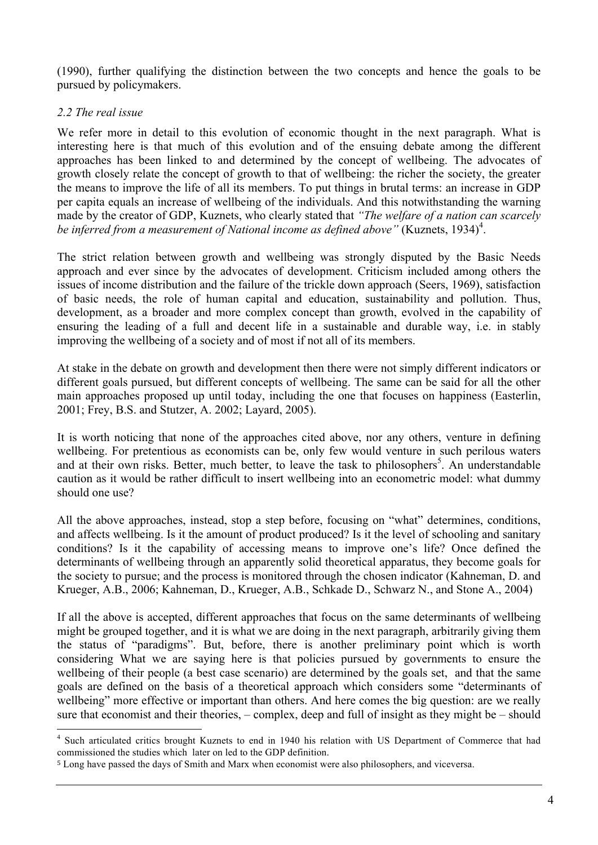(1990), further qualifying the distinction between the two concepts and hence the goals to be pursued by policymakers.

#### *2.2 The real issue*

We refer more in detail to this evolution of economic thought in the next paragraph. What is interesting here is that much of this evolution and of the ensuing debate among the different approaches has been linked to and determined by the concept of wellbeing. The advocates of growth closely relate the concept of growth to that of wellbeing: the richer the society, the greater the means to improve the life of all its members. To put things in brutal terms: an increase in GDP per capita equals an increase of wellbeing of the individuals. And this notwithstanding the warning made by the creator of GDP, Kuznets, who clearly stated that *"The welfare of a nation can scarcely*  be inferred from a measurement of National income as defined above" (Kuznets, 1934)<sup>4</sup>.

The strict relation between growth and wellbeing was strongly disputed by the Basic Needs approach and ever since by the advocates of development. Criticism included among others the issues of income distribution and the failure of the trickle down approach (Seers, 1969), satisfaction of basic needs, the role of human capital and education, sustainability and pollution. Thus, development, as a broader and more complex concept than growth, evolved in the capability of ensuring the leading of a full and decent life in a sustainable and durable way, i.e. in stably improving the wellbeing of a society and of most if not all of its members.

At stake in the debate on growth and development then there were not simply different indicators or different goals pursued, but different concepts of wellbeing. The same can be said for all the other main approaches proposed up until today, including the one that focuses on happiness (Easterlin, 2001; Frey, B.S. and Stutzer, A. 2002; Layard, 2005).

It is worth noticing that none of the approaches cited above, nor any others, venture in defining wellbeing. For pretentious as economists can be, only few would venture in such perilous waters and at their own risks. Better, much better, to leave the task to philosophers<sup>5</sup>. An understandable caution as it would be rather difficult to insert wellbeing into an econometric model: what dummy should one use?

All the above approaches, instead, stop a step before, focusing on "what" determines, conditions, and affects wellbeing. Is it the amount of product produced? Is it the level of schooling and sanitary conditions? Is it the capability of accessing means to improve one's life? Once defined the determinants of wellbeing through an apparently solid theoretical apparatus, they become goals for the society to pursue; and the process is monitored through the chosen indicator (Kahneman, D. and Krueger, A.B., 2006; Kahneman, D., Krueger, A.B., Schkade D., Schwarz N., and Stone A., 2004)

If all the above is accepted, different approaches that focus on the same determinants of wellbeing might be grouped together, and it is what we are doing in the next paragraph, arbitrarily giving them the status of "paradigms". But, before, there is another preliminary point which is worth considering What we are saying here is that policies pursued by governments to ensure the wellbeing of their people (a best case scenario) are determined by the goals set, and that the same goals are defined on the basis of a theoretical approach which considers some "determinants of wellbeing" more effective or important than others. And here comes the big question: are we really sure that economist and their theories, – complex, deep and full of insight as they might be – should

 <sup>4</sup> Such articulated critics brought Kuznets to end in 1940 his relation with US Department of Commerce that had commissioned the studies which later on led to the GDP definition.

<sup>5</sup> Long have passed the days of Smith and Marx when economist were also philosophers, and viceversa.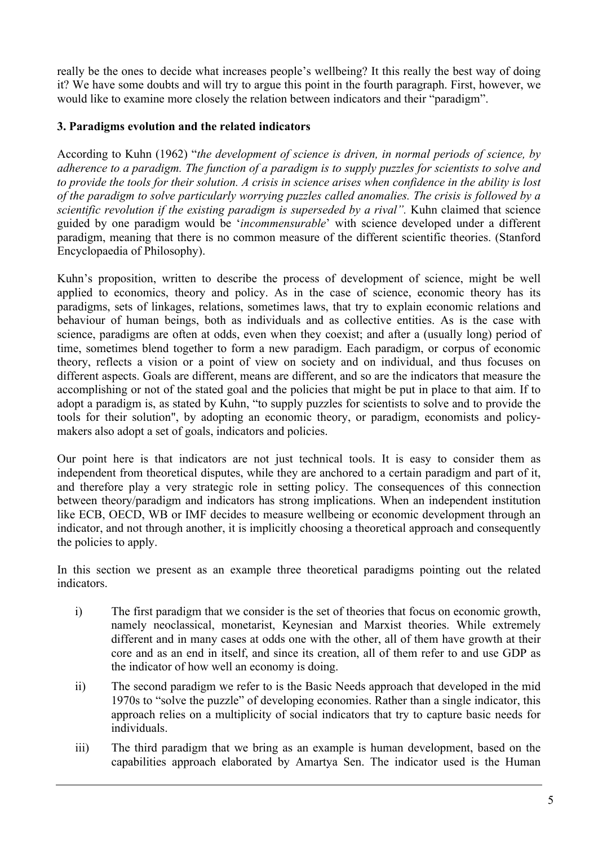really be the ones to decide what increases people's wellbeing? It this really the best way of doing it? We have some doubts and will try to argue this point in the fourth paragraph. First, however, we would like to examine more closely the relation between indicators and their "paradigm".

## **3. Paradigms evolution and the related indicators**

According to Kuhn (1962) "*the development of science is driven, in normal periods of science, by adherence to a paradigm. The function of a paradigm is to supply puzzles for scientists to solve and to provide the tools for their solution. A crisis in science arises when confidence in the ability is lost of the paradigm to solve particularly worrying puzzles called anomalies. The crisis is followed by a scientific revolution if the existing paradigm is superseded by a rival"*. Kuhn claimed that science guided by one paradigm would be '*incommensurable*' with science developed under a different paradigm, meaning that there is no common measure of the different scientific theories. (Stanford Encyclopaedia of Philosophy).

Kuhn's proposition, written to describe the process of development of science, might be well applied to economics, theory and policy. As in the case of science, economic theory has its paradigms, sets of linkages, relations, sometimes laws, that try to explain economic relations and behaviour of human beings, both as individuals and as collective entities. As is the case with science, paradigms are often at odds, even when they coexist; and after a (usually long) period of time, sometimes blend together to form a new paradigm. Each paradigm, or corpus of economic theory, reflects a vision or a point of view on society and on individual, and thus focuses on different aspects. Goals are different, means are different, and so are the indicators that measure the accomplishing or not of the stated goal and the policies that might be put in place to that aim. If to adopt a paradigm is, as stated by Kuhn, "to supply puzzles for scientists to solve and to provide the tools for their solution", by adopting an economic theory, or paradigm, economists and policymakers also adopt a set of goals, indicators and policies.

Our point here is that indicators are not just technical tools. It is easy to consider them as independent from theoretical disputes, while they are anchored to a certain paradigm and part of it, and therefore play a very strategic role in setting policy. The consequences of this connection between theory/paradigm and indicators has strong implications. When an independent institution like ECB, OECD, WB or IMF decides to measure wellbeing or economic development through an indicator, and not through another, it is implicitly choosing a theoretical approach and consequently the policies to apply.

In this section we present as an example three theoretical paradigms pointing out the related indicators.

- i) The first paradigm that we consider is the set of theories that focus on economic growth, namely neoclassical, monetarist, Keynesian and Marxist theories. While extremely different and in many cases at odds one with the other, all of them have growth at their core and as an end in itself, and since its creation, all of them refer to and use GDP as the indicator of how well an economy is doing.
- ii) The second paradigm we refer to is the Basic Needs approach that developed in the mid 1970s to "solve the puzzle" of developing economies. Rather than a single indicator, this approach relies on a multiplicity of social indicators that try to capture basic needs for individuals.
- iii) The third paradigm that we bring as an example is human development, based on the capabilities approach elaborated by Amartya Sen. The indicator used is the Human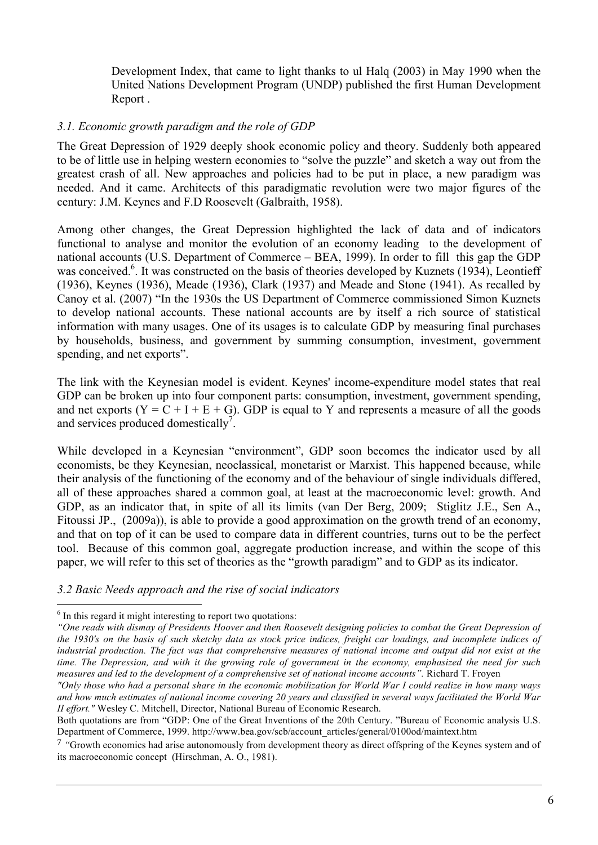Development Index, that came to light thanks to ul Halq (2003) in May 1990 when the United Nations Development Program (UNDP) published the first Human Development Report .

#### *3.1. Economic growth paradigm and the role of GDP*

The Great Depression of 1929 deeply shook economic policy and theory. Suddenly both appeared to be of little use in helping western economies to "solve the puzzle" and sketch a way out from the greatest crash of all. New approaches and policies had to be put in place, a new paradigm was needed. And it came. Architects of this paradigmatic revolution were two major figures of the century: J.M. Keynes and F.D Roosevelt (Galbraith, 1958).

Among other changes, the Great Depression highlighted the lack of data and of indicators functional to analyse and monitor the evolution of an economy leading to the development of national accounts (U.S. Department of Commerce – BEA, 1999). In order to fill this gap the GDP was conceived.<sup>6</sup>. It was constructed on the basis of theories developed by Kuznets (1934), Leontieff (1936), Keynes (1936), Meade (1936), Clark (1937) and Meade and Stone (1941). As recalled by Canoy et al. (2007) "In the 1930s the US Department of Commerce commissioned Simon Kuznets to develop national accounts. These national accounts are by itself a rich source of statistical information with many usages. One of its usages is to calculate GDP by measuring final purchases by households, business, and government by summing consumption, investment, government spending, and net exports".

The link with the Keynesian model is evident. Keynes' income-expenditure model states that real GDP can be broken up into four component parts: consumption, investment, government spending, and net exports  $(Y = C + I + E + G)$ . GDP is equal to Y and represents a measure of all the goods and services produced domestically<sup>7</sup>.

While developed in a Keynesian "environment", GDP soon becomes the indicator used by all economists, be they Keynesian, neoclassical, monetarist or Marxist. This happened because, while their analysis of the functioning of the economy and of the behaviour of single individuals differed, all of these approaches shared a common goal, at least at the macroeconomic level: growth. And GDP, as an indicator that, in spite of all its limits (van Der Berg, 2009; Stiglitz J.E., Sen A., Fitoussi JP., (2009a)), is able to provide a good approximation on the growth trend of an economy, and that on top of it can be used to compare data in different countries, turns out to be the perfect tool. Because of this common goal, aggregate production increase, and within the scope of this paper, we will refer to this set of theories as the "growth paradigm" and to GDP as its indicator.

*3.2 Basic Needs approach and the rise of social indicators* 

 <sup>6</sup>  $<sup>6</sup>$  In this regard it might interesting to report two quotations:</sup>

*<sup>&</sup>quot;One reads with dismay of Presidents Hoover and then Roosevelt designing policies to combat the Great Depression of the 1930's on the basis of such sketchy data as stock price indices, freight car loadings, and incomplete indices of industrial production. The fact was that comprehensive measures of national income and output did not exist at the time. The Depression, and with it the growing role of government in the economy, emphasized the need for such measures and led to the development of a comprehensive set of national income accounts".* Richard T. Froyen

*<sup>&</sup>quot;Only those who had a personal share in the economic mobilization for World War I could realize in how many ways and how much estimates of national income covering 20 years and classified in several ways facilitated the World War II effort."* Wesley C. Mitchell, Director, National Bureau of Economic Research.

Both quotations are from "GDP: One of the Great Inventions of the 20th Century. "Bureau of Economic analysis U.S. Department of Commerce, 1999. http://www.bea.gov/scb/account\_articles/general/0100od/maintext.htm

<sup>7</sup> *"*Growth economics had arise autonomously from development theory as direct offspring of the Keynes system and of its macroeconomic concept (Hirschman, A. O., 1981).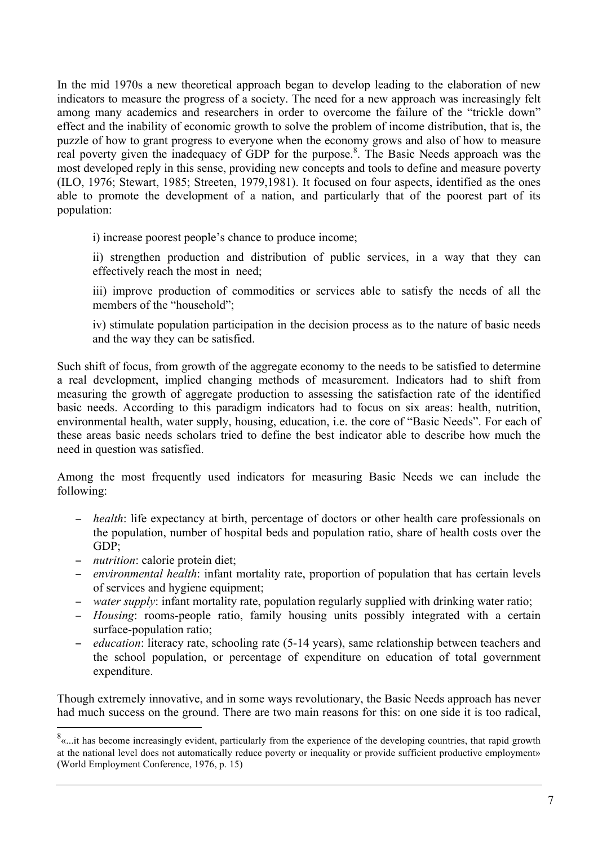In the mid 1970s a new theoretical approach began to develop leading to the elaboration of new indicators to measure the progress of a society. The need for a new approach was increasingly felt among many academics and researchers in order to overcome the failure of the "trickle down" effect and the inability of economic growth to solve the problem of income distribution, that is, the puzzle of how to grant progress to everyone when the economy grows and also of how to measure real poverty given the inadequacy of GDP for the purpose.<sup>8</sup>. The Basic Needs approach was the most developed reply in this sense, providing new concepts and tools to define and measure poverty (ILO, 1976; Stewart, 1985; Streeten, 1979,1981). It focused on four aspects, identified as the ones able to promote the development of a nation, and particularly that of the poorest part of its population:

i) increase poorest people's chance to produce income;

ii) strengthen production and distribution of public services, in a way that they can effectively reach the most in need;

iii) improve production of commodities or services able to satisfy the needs of all the members of the "household";

iv) stimulate population participation in the decision process as to the nature of basic needs and the way they can be satisfied.

Such shift of focus, from growth of the aggregate economy to the needs to be satisfied to determine a real development, implied changing methods of measurement. Indicators had to shift from measuring the growth of aggregate production to assessing the satisfaction rate of the identified basic needs. According to this paradigm indicators had to focus on six areas: health, nutrition, environmental health, water supply, housing, education, i.e. the core of "Basic Needs". For each of these areas basic needs scholars tried to define the best indicator able to describe how much the need in question was satisfied.

Among the most frequently used indicators for measuring Basic Needs we can include the following:

- − *health*: life expectancy at birth, percentage of doctors or other health care professionals on the population, number of hospital beds and population ratio, share of health costs over the GDP;
- − *nutrition*: calorie protein diet;
- − *environmental health*: infant mortality rate, proportion of population that has certain levels of services and hygiene equipment;
- − *water supply*: infant mortality rate, population regularly supplied with drinking water ratio;
- − *Housing*: rooms-people ratio, family housing units possibly integrated with a certain surface-population ratio;
- − *education*: literacy rate, schooling rate (5-14 years), same relationship between teachers and the school population, or percentage of expenditure on education of total government expenditure.

Though extremely innovative, and in some ways revolutionary, the Basic Needs approach has never had much success on the ground. There are two main reasons for this: on one side it is too radical,

<sup>&</sup>lt;sup>8</sup><br><sup>8</sup> is that become increasingly evident, particularly from the experience of the developing countries, that rapid growth at the national level does not automatically reduce poverty or inequality or provide sufficient productive employment» (World Employment Conference, 1976, p. 15)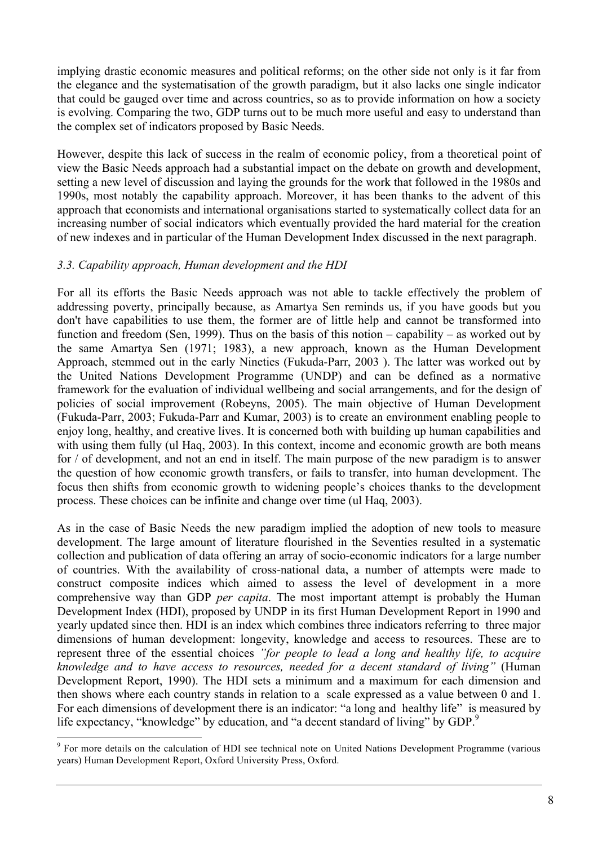implying drastic economic measures and political reforms; on the other side not only is it far from the elegance and the systematisation of the growth paradigm, but it also lacks one single indicator that could be gauged over time and across countries, so as to provide information on how a society is evolving. Comparing the two, GDP turns out to be much more useful and easy to understand than the complex set of indicators proposed by Basic Needs.

However, despite this lack of success in the realm of economic policy, from a theoretical point of view the Basic Needs approach had a substantial impact on the debate on growth and development, setting a new level of discussion and laying the grounds for the work that followed in the 1980s and 1990s, most notably the capability approach. Moreover, it has been thanks to the advent of this approach that economists and international organisations started to systematically collect data for an increasing number of social indicators which eventually provided the hard material for the creation of new indexes and in particular of the Human Development Index discussed in the next paragraph.

## *3.3. Capability approach, Human development and the HDI*

For all its efforts the Basic Needs approach was not able to tackle effectively the problem of addressing poverty, principally because, as Amartya Sen reminds us, if you have goods but you don't have capabilities to use them, the former are of little help and cannot be transformed into function and freedom (Sen, 1999). Thus on the basis of this notion – capability – as worked out by the same Amartya Sen (1971; 1983), a new approach, known as the Human Development Approach, stemmed out in the early Nineties (Fukuda-Parr, 2003 ). The latter was worked out by the United Nations Development Programme (UNDP) and can be defined as a normative framework for the evaluation of individual wellbeing and social arrangements, and for the design of policies of social improvement (Robeyns, 2005). The main objective of Human Development (Fukuda-Parr, 2003; Fukuda-Parr and Kumar, 2003) is to create an environment enabling people to enjoy long, healthy, and creative lives. It is concerned both with building up human capabilities and with using them fully (ul Haq, 2003). In this context, income and economic growth are both means for / of development, and not an end in itself. The main purpose of the new paradigm is to answer the question of how economic growth transfers, or fails to transfer, into human development. The focus then shifts from economic growth to widening people's choices thanks to the development process. These choices can be infinite and change over time (ul Haq, 2003).

As in the case of Basic Needs the new paradigm implied the adoption of new tools to measure development. The large amount of literature flourished in the Seventies resulted in a systematic collection and publication of data offering an array of socio-economic indicators for a large number of countries. With the availability of cross-national data, a number of attempts were made to construct composite indices which aimed to assess the level of development in a more comprehensive way than GDP *per capita*. The most important attempt is probably the Human Development Index (HDI), proposed by UNDP in its first Human Development Report in 1990 and yearly updated since then. HDI is an index which combines three indicators referring to three major dimensions of human development: longevity, knowledge and access to resources. These are to represent three of the essential choices *"for people to lead a long and healthy life, to acquire knowledge and to have access to resources, needed for a decent standard of living"* (Human Development Report, 1990). The HDI sets a minimum and a maximum for each dimension and then shows where each country stands in relation to a scale expressed as a value between 0 and 1. For each dimensions of development there is an indicator: "a long and healthy life" is measured by life expectancy, "knowledge" by education, and "a decent standard of living" by GDP.<sup>9</sup>

<sup>&</sup>lt;sup>9</sup> For more details on the calculation of HDI see technical note on United Nations Development Programme (various years) Human Development Report, Oxford University Press, Oxford.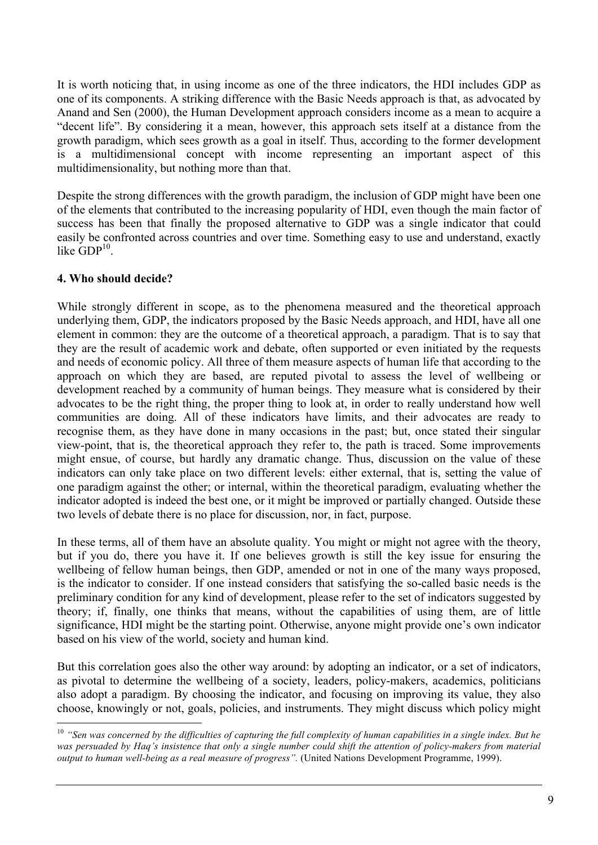It is worth noticing that, in using income as one of the three indicators, the HDI includes GDP as one of its components. A striking difference with the Basic Needs approach is that, as advocated by Anand and Sen (2000), the Human Development approach considers income as a mean to acquire a "decent life". By considering it a mean, however, this approach sets itself at a distance from the growth paradigm, which sees growth as a goal in itself. Thus, according to the former development is a multidimensional concept with income representing an important aspect of this multidimensionality, but nothing more than that.

Despite the strong differences with the growth paradigm, the inclusion of GDP might have been one of the elements that contributed to the increasing popularity of HDI, even though the main factor of success has been that finally the proposed alternative to GDP was a single indicator that could easily be confronted across countries and over time. Something easy to use and understand, exactly like  $GDP^{10}$ 

## **4. Who should decide?**

While strongly different in scope, as to the phenomena measured and the theoretical approach underlying them, GDP, the indicators proposed by the Basic Needs approach, and HDI, have all one element in common: they are the outcome of a theoretical approach, a paradigm. That is to say that they are the result of academic work and debate, often supported or even initiated by the requests and needs of economic policy. All three of them measure aspects of human life that according to the approach on which they are based, are reputed pivotal to assess the level of wellbeing or development reached by a community of human beings. They measure what is considered by their advocates to be the right thing, the proper thing to look at, in order to really understand how well communities are doing. All of these indicators have limits, and their advocates are ready to recognise them, as they have done in many occasions in the past; but, once stated their singular view-point, that is, the theoretical approach they refer to, the path is traced. Some improvements might ensue, of course, but hardly any dramatic change. Thus, discussion on the value of these indicators can only take place on two different levels: either external, that is, setting the value of one paradigm against the other; or internal, within the theoretical paradigm, evaluating whether the indicator adopted is indeed the best one, or it might be improved or partially changed. Outside these two levels of debate there is no place for discussion, nor, in fact, purpose.

In these terms, all of them have an absolute quality. You might or might not agree with the theory, but if you do, there you have it. If one believes growth is still the key issue for ensuring the wellbeing of fellow human beings, then GDP, amended or not in one of the many ways proposed, is the indicator to consider. If one instead considers that satisfying the so-called basic needs is the preliminary condition for any kind of development, please refer to the set of indicators suggested by theory; if, finally, one thinks that means, without the capabilities of using them, are of little significance, HDI might be the starting point. Otherwise, anyone might provide one's own indicator based on his view of the world, society and human kind.

But this correlation goes also the other way around: by adopting an indicator, or a set of indicators, as pivotal to determine the wellbeing of a society, leaders, policy-makers, academics, politicians also adopt a paradigm. By choosing the indicator, and focusing on improving its value, they also choose, knowingly or not, goals, policies, and instruments. They might discuss which policy might

<sup>&</sup>lt;sup>10</sup> "Sen was concerned by the difficulties of capturing the full complexity of human capabilities in a single index. But he *was persuaded by Haq's insistence that only a single number could shift the attention of policy-makers from material output to human well-being as a real measure of progress".* (United Nations Development Programme, 1999).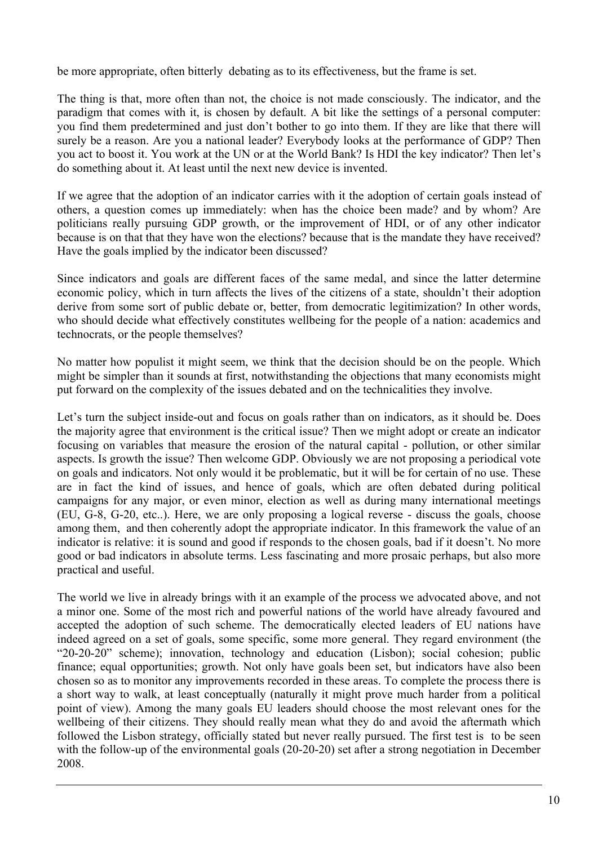be more appropriate, often bitterly debating as to its effectiveness, but the frame is set.

The thing is that, more often than not, the choice is not made consciously. The indicator, and the paradigm that comes with it, is chosen by default. A bit like the settings of a personal computer: you find them predetermined and just don't bother to go into them. If they are like that there will surely be a reason. Are you a national leader? Everybody looks at the performance of GDP? Then you act to boost it. You work at the UN or at the World Bank? Is HDI the key indicator? Then let's do something about it. At least until the next new device is invented.

If we agree that the adoption of an indicator carries with it the adoption of certain goals instead of others, a question comes up immediately: when has the choice been made? and by whom? Are politicians really pursuing GDP growth, or the improvement of HDI, or of any other indicator because is on that that they have won the elections? because that is the mandate they have received? Have the goals implied by the indicator been discussed?

Since indicators and goals are different faces of the same medal, and since the latter determine economic policy, which in turn affects the lives of the citizens of a state, shouldn't their adoption derive from some sort of public debate or, better, from democratic legitimization? In other words, who should decide what effectively constitutes wellbeing for the people of a nation: academics and technocrats, or the people themselves?

No matter how populist it might seem, we think that the decision should be on the people. Which might be simpler than it sounds at first, notwithstanding the objections that many economists might put forward on the complexity of the issues debated and on the technicalities they involve.

Let's turn the subject inside-out and focus on goals rather than on indicators, as it should be. Does the majority agree that environment is the critical issue? Then we might adopt or create an indicator focusing on variables that measure the erosion of the natural capital - pollution, or other similar aspects. Is growth the issue? Then welcome GDP. Obviously we are not proposing a periodical vote on goals and indicators. Not only would it be problematic, but it will be for certain of no use. These are in fact the kind of issues, and hence of goals, which are often debated during political campaigns for any major, or even minor, election as well as during many international meetings (EU, G-8, G-20, etc..). Here, we are only proposing a logical reverse - discuss the goals, choose among them, and then coherently adopt the appropriate indicator. In this framework the value of an indicator is relative: it is sound and good if responds to the chosen goals, bad if it doesn't. No more good or bad indicators in absolute terms. Less fascinating and more prosaic perhaps, but also more practical and useful.

The world we live in already brings with it an example of the process we advocated above, and not a minor one. Some of the most rich and powerful nations of the world have already favoured and accepted the adoption of such scheme. The democratically elected leaders of EU nations have indeed agreed on a set of goals, some specific, some more general. They regard environment (the "20-20-20" scheme); innovation, technology and education (Lisbon); social cohesion; public finance; equal opportunities; growth. Not only have goals been set, but indicators have also been chosen so as to monitor any improvements recorded in these areas. To complete the process there is a short way to walk, at least conceptually (naturally it might prove much harder from a political point of view). Among the many goals EU leaders should choose the most relevant ones for the wellbeing of their citizens. They should really mean what they do and avoid the aftermath which followed the Lisbon strategy, officially stated but never really pursued. The first test is to be seen with the follow-up of the environmental goals (20-20-20) set after a strong negotiation in December 2008.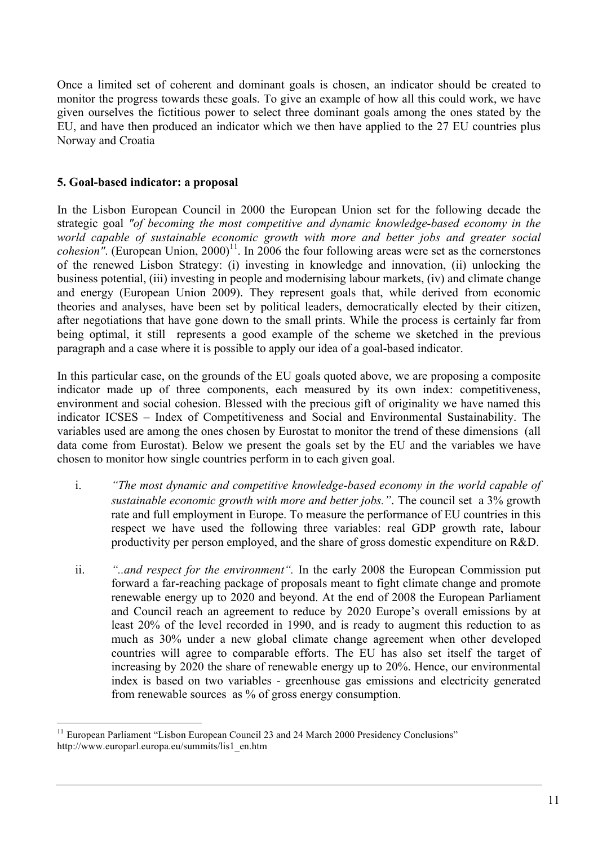Once a limited set of coherent and dominant goals is chosen, an indicator should be created to monitor the progress towards these goals. To give an example of how all this could work, we have given ourselves the fictitious power to select three dominant goals among the ones stated by the EU, and have then produced an indicator which we then have applied to the 27 EU countries plus Norway and Croatia

## **5. Goal-based indicator: a proposal**

In the Lisbon European Council in 2000 the European Union set for the following decade the strategic goal *"of becoming the most competitive and dynamic knowledge-based economy in the world capable of sustainable economic growth with more and better jobs and greater social cohesion*". (European Union,  $2000$ <sup>11</sup>. In 2006 the four following areas were set as the cornerstones of the renewed Lisbon Strategy: (i) investing in knowledge and innovation, (ii) unlocking the business potential, (iii) investing in people and modernising labour markets, (iv) and climate change and energy (European Union 2009). They represent goals that, while derived from economic theories and analyses, have been set by political leaders, democratically elected by their citizen, after negotiations that have gone down to the small prints. While the process is certainly far from being optimal, it still represents a good example of the scheme we sketched in the previous paragraph and a case where it is possible to apply our idea of a goal-based indicator.

In this particular case, on the grounds of the EU goals quoted above, we are proposing a composite indicator made up of three components, each measured by its own index: competitiveness, environment and social cohesion. Blessed with the precious gift of originality we have named this indicator ICSES – Index of Competitiveness and Social and Environmental Sustainability. The variables used are among the ones chosen by Eurostat to monitor the trend of these dimensions (all data come from Eurostat). Below we present the goals set by the EU and the variables we have chosen to monitor how single countries perform in to each given goal.

- i. *"The most dynamic and competitive knowledge-based economy in the world capable of sustainable economic growth with more and better jobs."*. The council set a 3% growth rate and full employment in Europe. To measure the performance of EU countries in this respect we have used the following three variables: real GDP growth rate, labour productivity per person employed, and the share of gross domestic expenditure on R&D.
- ii. *"..and respect for the environment".* In the early 2008 the European Commission put forward a far-reaching package of proposals meant to fight climate change and promote renewable energy up to 2020 and beyond. At the end of 2008 the European Parliament and Council reach an agreement to reduce by 2020 Europe's overall emissions by at least 20% of the level recorded in 1990, and is ready to augment this reduction to as much as 30% under a new global climate change agreement when other developed countries will agree to comparable efforts. The EU has also set itself the target of increasing by 2020 the share of renewable energy up to 20%. Hence, our environmental index is based on two variables - greenhouse gas emissions and electricity generated from renewable sources as % of gross energy consumption.

<sup>&</sup>lt;sup>11</sup> European Parliament "Lisbon European Council 23 and 24 March 2000 Presidency Conclusions" http://www.europarl.europa.eu/summits/lis1\_en.htm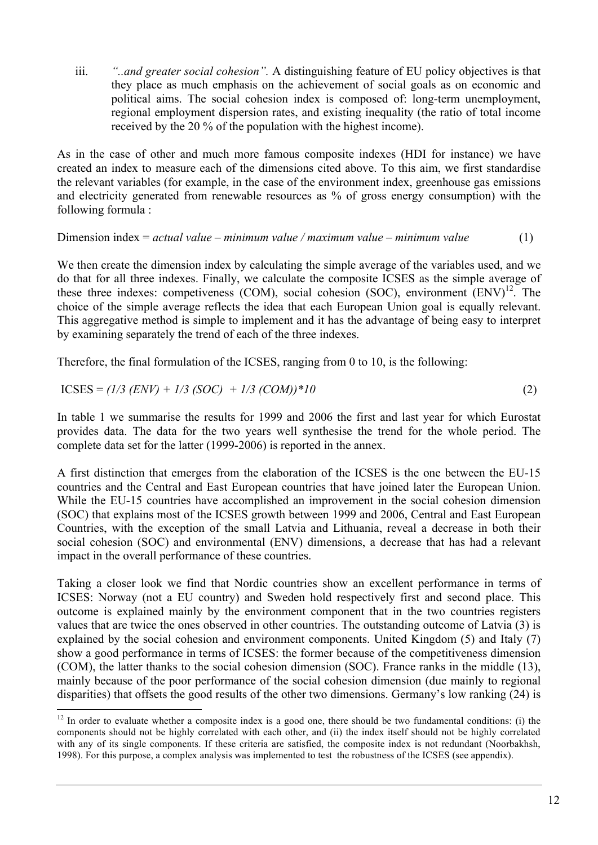iii. *"..and greater social cohesion".* A distinguishing feature of EU policy objectives is that they place as much emphasis on the achievement of social goals as on economic and political aims. The social cohesion index is composed of: long-term unemployment, regional employment dispersion rates, and existing inequality (the ratio of total income received by the 20 % of the population with the highest income).

As in the case of other and much more famous composite indexes (HDI for instance) we have created an index to measure each of the dimensions cited above. To this aim, we first standardise the relevant variables (for example, in the case of the environment index, greenhouse gas emissions and electricity generated from renewable resources as % of gross energy consumption) with the following formula :

#### Dimension index = *actual value – minimum value / maximum value – minimum value* (1)

We then create the dimension index by calculating the simple average of the variables used, and we do that for all three indexes. Finally, we calculate the composite ICSES as the simple average of these three indexes: competiveness (COM), social cohesion (SOC), environment  $(ENV)^{12}$ . The choice of the simple average reflects the idea that each European Union goal is equally relevant. This aggregative method is simple to implement and it has the advantage of being easy to interpret by examining separately the trend of each of the three indexes.

Therefore, the final formulation of the ICSES, ranging from 0 to 10, is the following:

$$
ICSES = (1/3 (ENV) + 1/3 (SOC) + 1/3 (COM))^*10
$$
 (2)

In table 1 we summarise the results for 1999 and 2006 the first and last year for which Eurostat provides data. The data for the two years well synthesise the trend for the whole period. The complete data set for the latter (1999-2006) is reported in the annex.

A first distinction that emerges from the elaboration of the ICSES is the one between the EU-15 countries and the Central and East European countries that have joined later the European Union. While the EU-15 countries have accomplished an improvement in the social cohesion dimension (SOC) that explains most of the ICSES growth between 1999 and 2006, Central and East European Countries, with the exception of the small Latvia and Lithuania, reveal a decrease in both their social cohesion (SOC) and environmental (ENV) dimensions, a decrease that has had a relevant impact in the overall performance of these countries.

Taking a closer look we find that Nordic countries show an excellent performance in terms of ICSES: Norway (not a EU country) and Sweden hold respectively first and second place. This outcome is explained mainly by the environment component that in the two countries registers values that are twice the ones observed in other countries. The outstanding outcome of Latvia (3) is explained by the social cohesion and environment components. United Kingdom (5) and Italy (7) show a good performance in terms of ICSES: the former because of the competitiveness dimension (COM), the latter thanks to the social cohesion dimension (SOC). France ranks in the middle (13), mainly because of the poor performance of the social cohesion dimension (due mainly to regional disparities) that offsets the good results of the other two dimensions. Germany's low ranking (24) is

 $12$  In order to evaluate whether a composite index is a good one, there should be two fundamental conditions: (i) the components should not be highly correlated with each other, and (ii) the index itself should not be highly correlated with any of its single components. If these criteria are satisfied, the composite index is not redundant (Noorbakhsh, 1998). For this purpose, a complex analysis was implemented to test the robustness of the ICSES (see appendix).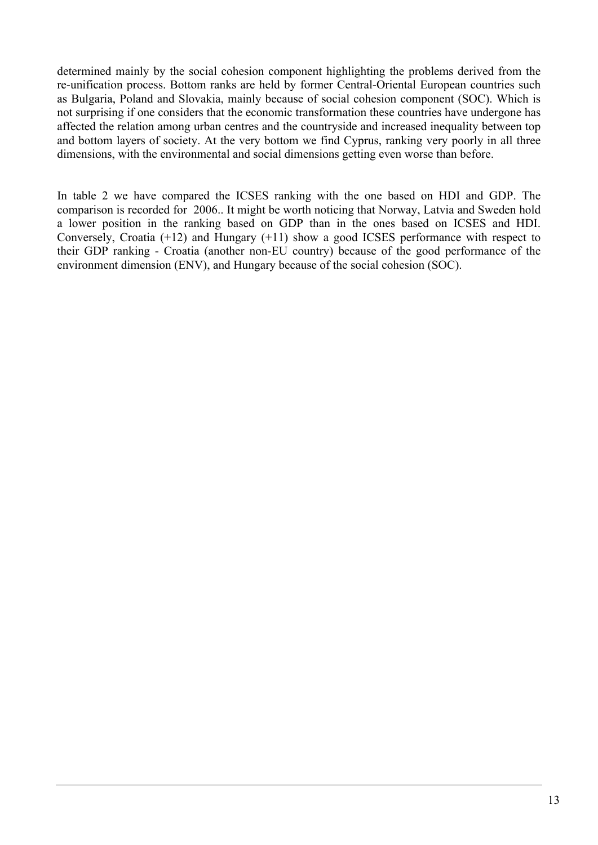determined mainly by the social cohesion component highlighting the problems derived from the re-unification process. Bottom ranks are held by former Central-Oriental European countries such as Bulgaria, Poland and Slovakia, mainly because of social cohesion component (SOC). Which is not surprising if one considers that the economic transformation these countries have undergone has affected the relation among urban centres and the countryside and increased inequality between top and bottom layers of society. At the very bottom we find Cyprus, ranking very poorly in all three dimensions, with the environmental and social dimensions getting even worse than before.

In table 2 we have compared the ICSES ranking with the one based on HDI and GDP. The comparison is recorded for 2006.. It might be worth noticing that Norway, Latvia and Sweden hold a lower position in the ranking based on GDP than in the ones based on ICSES and HDI. Conversely, Croatia (+12) and Hungary (+11) show a good ICSES performance with respect to their GDP ranking - Croatia (another non-EU country) because of the good performance of the environment dimension (ENV), and Hungary because of the social cohesion (SOC).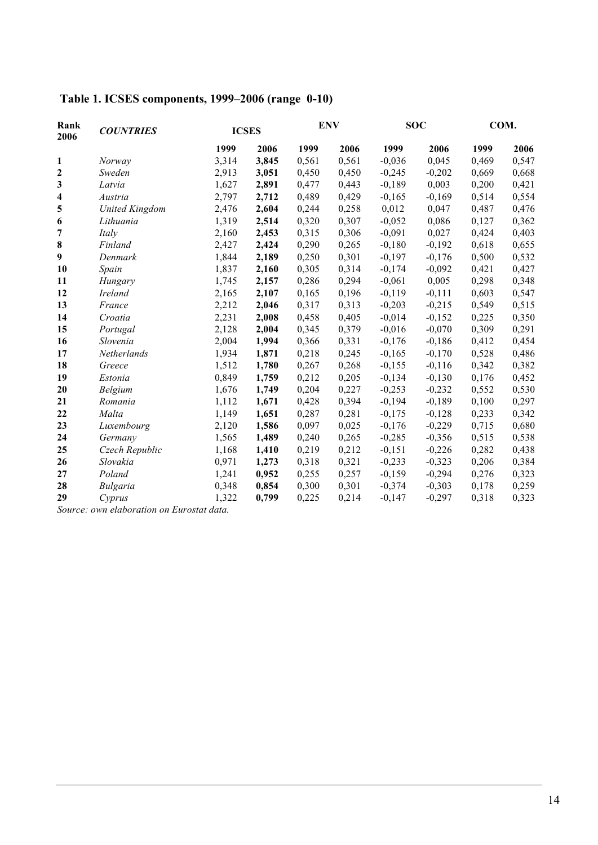| Table 1. ICSES components, 1999–2006 (range 0-10) |  |
|---------------------------------------------------|--|
|---------------------------------------------------|--|

| Rank<br><b>COUNTRIES</b><br>2006 |                       |       | <b>ICSES</b> | <b>ENV</b> |       | <b>SOC</b> |          | COM.  |       |
|----------------------------------|-----------------------|-------|--------------|------------|-------|------------|----------|-------|-------|
|                                  |                       | 1999  | 2006         | 1999       | 2006  | 1999       | 2006     | 1999  | 2006  |
| 1                                | Norway                | 3,314 | 3,845        | 0,561      | 0,561 | $-0,036$   | 0,045    | 0,469 | 0,547 |
| 2                                | Sweden                | 2,913 | 3,051        | 0,450      | 0,450 | $-0,245$   | $-0,202$ | 0,669 | 0,668 |
| 3                                | Latvia                | 1,627 | 2,891        | 0,477      | 0,443 | $-0,189$   | 0,003    | 0,200 | 0,421 |
| 4                                | Austria               | 2,797 | 2,712        | 0,489      | 0,429 | $-0,165$   | $-0,169$ | 0,514 | 0,554 |
| 5                                | <b>United Kingdom</b> | 2,476 | 2,604        | 0,244      | 0,258 | 0,012      | 0,047    | 0,487 | 0,476 |
| 6                                | Lithuania             | 1,319 | 2,514        | 0,320      | 0,307 | $-0,052$   | 0,086    | 0,127 | 0,362 |
| 7                                | Italy                 | 2,160 | 2,453        | 0,315      | 0,306 | $-0,091$   | 0,027    | 0,424 | 0,403 |
| 8                                | Finland               | 2,427 | 2,424        | 0,290      | 0,265 | $-0,180$   | $-0,192$ | 0,618 | 0,655 |
| 9                                | Denmark               | 1,844 | 2,189        | 0,250      | 0,301 | $-0,197$   | $-0,176$ | 0,500 | 0,532 |
| 10                               | Spain                 | 1,837 | 2,160        | 0,305      | 0,314 | $-0,174$   | $-0,092$ | 0,421 | 0,427 |
| 11                               | Hungary               | 1,745 | 2,157        | 0,286      | 0,294 | $-0,061$   | 0,005    | 0,298 | 0,348 |
| 12                               | Ireland               | 2,165 | 2,107        | 0,165      | 0,196 | $-0,119$   | $-0,111$ | 0,603 | 0,547 |
| 13                               | France                | 2,212 | 2,046        | 0,317      | 0,313 | $-0,203$   | $-0,215$ | 0,549 | 0,515 |
| 14                               | Croatia               | 2,231 | 2,008        | 0,458      | 0,405 | $-0,014$   | $-0,152$ | 0,225 | 0,350 |
| 15                               | Portugal              | 2,128 | 2,004        | 0,345      | 0,379 | $-0,016$   | $-0,070$ | 0,309 | 0,291 |
| 16                               | Slovenia              | 2,004 | 1,994        | 0,366      | 0,331 | $-0,176$   | $-0,186$ | 0,412 | 0,454 |
| 17                               | Netherlands           | 1,934 | 1,871        | 0,218      | 0,245 | $-0,165$   | $-0,170$ | 0,528 | 0,486 |
| 18                               | Greece                | 1,512 | 1,780        | 0,267      | 0,268 | $-0,155$   | $-0,116$ | 0,342 | 0,382 |
| 19                               | Estonia               | 0,849 | 1,759        | 0,212      | 0,205 | $-0,134$   | $-0,130$ | 0,176 | 0,452 |
| 20                               | <b>Belgium</b>        | 1,676 | 1,749        | 0,204      | 0,227 | $-0,253$   | $-0,232$ | 0,552 | 0,530 |
| 21                               | Romania               | 1,112 | 1,671        | 0,428      | 0,394 | $-0,194$   | $-0,189$ | 0,100 | 0,297 |
| 22                               | Malta                 | 1,149 | 1,651        | 0,287      | 0,281 | $-0,175$   | $-0,128$ | 0,233 | 0,342 |
| 23                               | Luxembourg            | 2,120 | 1,586        | 0,097      | 0,025 | $-0,176$   | $-0,229$ | 0,715 | 0,680 |
| 24                               | Germany               | 1,565 | 1,489        | 0,240      | 0,265 | $-0,285$   | $-0,356$ | 0,515 | 0,538 |
| 25                               | Czech Republic        | 1,168 | 1,410        | 0,219      | 0,212 | $-0,151$   | $-0,226$ | 0,282 | 0,438 |
| 26                               | Slovakia              | 0,971 | 1,273        | 0,318      | 0,321 | $-0,233$   | $-0,323$ | 0,206 | 0,384 |
| 27                               | Poland                | 1,241 | 0,952        | 0,255      | 0,257 | $-0,159$   | $-0,294$ | 0,276 | 0,323 |
| 28                               | <b>Bulgaria</b>       | 0,348 | 0,854        | 0,300      | 0,301 | $-0,374$   | $-0,303$ | 0,178 | 0,259 |
| 29                               | Cyprus                | 1,322 | 0,799        | 0,225      | 0,214 | $-0,147$   | $-0,297$ | 0,318 | 0,323 |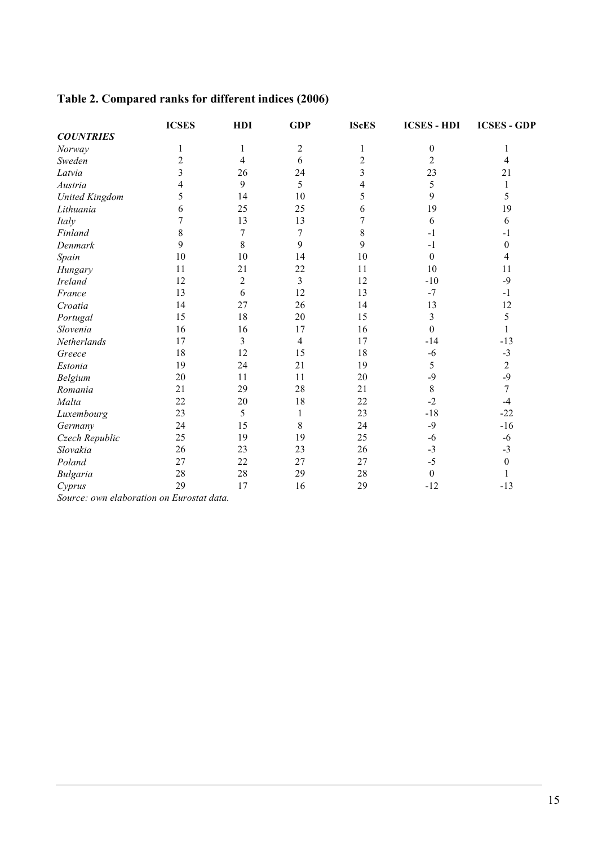# **Table 2. Compared ranks for different indices (2006)**

|                                          | <b>ICSES</b>   | <b>HDI</b>              | <b>GDP</b>     | <b>IScES</b>            | <b>ICSES - HDI</b> | <b>ICSES - GDP</b> |
|------------------------------------------|----------------|-------------------------|----------------|-------------------------|--------------------|--------------------|
| <b>COUNTRIES</b>                         |                |                         |                |                         |                    |                    |
| Norway                                   | 1              | 1                       | $\sqrt{2}$     | 1                       | $\boldsymbol{0}$   | 1                  |
| Sweden                                   | $\overline{2}$ | 4                       | 6              | $\overline{2}$          | $\overline{c}$     | 4                  |
| Latvia                                   | 3              | 26                      | 24             | $\overline{\mathbf{3}}$ | 23                 | 21                 |
| Austria                                  | 4              | 9                       | 5              | 4                       | 5                  | 1                  |
| <b>United Kingdom</b>                    | 5              | 14                      | 10             | 5                       | 9                  | 5                  |
| Lithuania                                | 6              | 25                      | 25             | 6                       | 19                 | 19                 |
| Italy                                    | 7              | 13                      | 13             | 7                       | 6                  | 6                  |
| Finland                                  | 8              | $\overline{7}$          | $\overline{7}$ | 8                       | $-1$               | $-1$               |
| Denmark                                  | 9              | 8                       | 9              | 9                       | $-1$               | $\boldsymbol{0}$   |
| Spain                                    | 10             | 10                      | 14             | 10                      | $\boldsymbol{0}$   | 4                  |
| Hungary                                  | 11             | 21                      | 22             | 11                      | 10                 | 11                 |
| <b>Ireland</b>                           | 12             | $\overline{2}$          | 3              | 12                      | $-10$              | $-9$               |
| France                                   | 13             | 6                       | 12             | 13                      | $-7$               | $-1$               |
| Croatia                                  | 14             | 27                      | 26             | 14                      | 13                 | 12                 |
| Portugal                                 | 15             | 18                      | 20             | 15                      | 3                  | 5                  |
| Slovenia                                 | 16             | 16                      | 17             | 16                      | $\boldsymbol{0}$   | 1                  |
| Netherlands                              | 17             | $\overline{\mathbf{3}}$ | $\overline{4}$ | 17                      | $-14$              | $-13$              |
| Greece                                   | 18             | 12                      | 15             | 18                      | $-6$               | $-3$               |
| Estonia                                  | 19             | 24                      | 21             | 19                      | 5                  | $\overline{c}$     |
| Belgium                                  | 20             | 11                      | 11             | 20                      | $-9$               | $-9$               |
| Romania                                  | 21             | 29                      | 28             | 21                      | 8                  | $\overline{7}$     |
| Malta                                    | 22             | 20                      | 18             | 22                      | $-2$               | $-4$               |
| Luxembourg                               | 23             | 5                       | $\mathbf{1}$   | 23                      | $-18$              | $-22$              |
| Germany                                  | 24             | 15                      | $\,8\,$        | 24                      | $-9$               | $-16$              |
| Czech Republic                           | 25             | 19                      | 19             | 25                      | $-6$               | $-6$               |
| Slovakia                                 | 26             | 23                      | 23             | 26                      | $-3$               | $-3$               |
| Poland                                   | 27             | 22                      | 27             | 27                      | $-5$               | $\boldsymbol{0}$   |
| Bulgaria                                 | 28             | $28\,$                  | 29             | 28                      | $\boldsymbol{0}$   | 1                  |
| Cyprus                                   | 29             | 17                      | 16             | 29                      | $-12$              | $-13$              |
| Counces on alghoustion on Eugenetat data |                |                         |                |                         |                    |                    |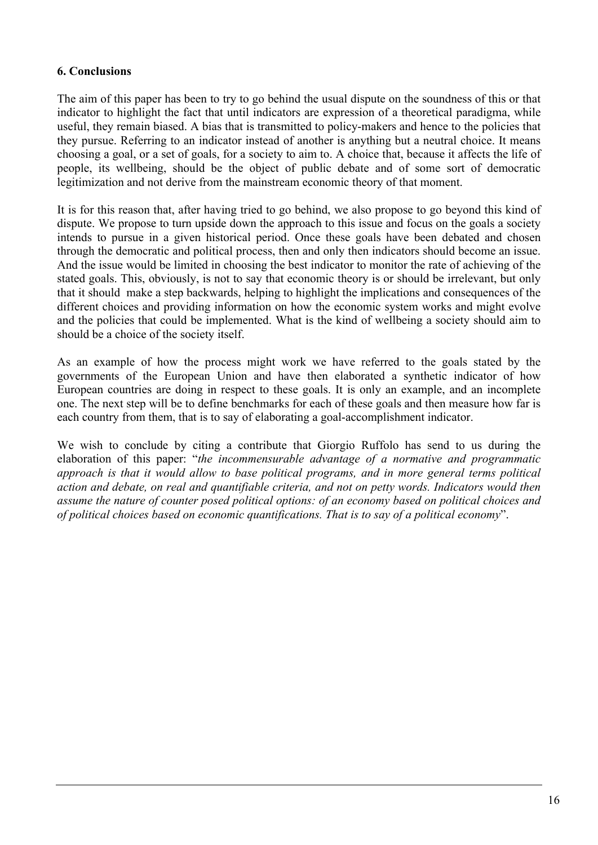#### **6. Conclusions**

The aim of this paper has been to try to go behind the usual dispute on the soundness of this or that indicator to highlight the fact that until indicators are expression of a theoretical paradigma, while useful, they remain biased. A bias that is transmitted to policy-makers and hence to the policies that they pursue. Referring to an indicator instead of another is anything but a neutral choice. It means choosing a goal, or a set of goals, for a society to aim to. A choice that, because it affects the life of people, its wellbeing, should be the object of public debate and of some sort of democratic legitimization and not derive from the mainstream economic theory of that moment.

It is for this reason that, after having tried to go behind, we also propose to go beyond this kind of dispute. We propose to turn upside down the approach to this issue and focus on the goals a society intends to pursue in a given historical period. Once these goals have been debated and chosen through the democratic and political process, then and only then indicators should become an issue. And the issue would be limited in choosing the best indicator to monitor the rate of achieving of the stated goals. This, obviously, is not to say that economic theory is or should be irrelevant, but only that it should make a step backwards, helping to highlight the implications and consequences of the different choices and providing information on how the economic system works and might evolve and the policies that could be implemented. What is the kind of wellbeing a society should aim to should be a choice of the society itself.

As an example of how the process might work we have referred to the goals stated by the governments of the European Union and have then elaborated a synthetic indicator of how European countries are doing in respect to these goals. It is only an example, and an incomplete one. The next step will be to define benchmarks for each of these goals and then measure how far is each country from them, that is to say of elaborating a goal-accomplishment indicator.

We wish to conclude by citing a contribute that Giorgio Ruffolo has send to us during the elaboration of this paper: "*the incommensurable advantage of a normative and programmatic approach is that it would allow to base political programs, and in more general terms political action and debate, on real and quantifiable criteria, and not on petty words. Indicators would then assume the nature of counter posed political options: of an economy based on political choices and of political choices based on economic quantifications. That is to say of a political economy*".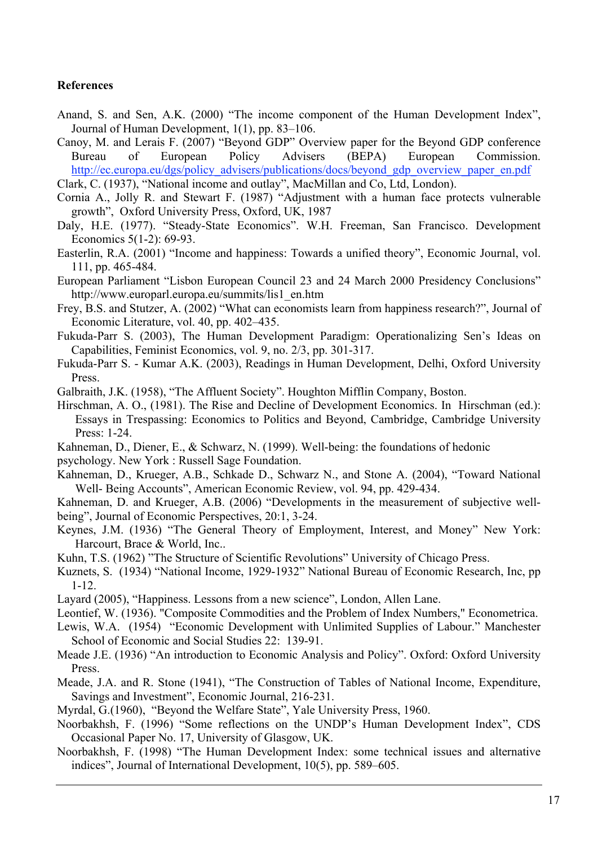#### **References**

- Anand, S. and Sen, A.K. (2000) "The income component of the Human Development Index", Journal of Human Development, 1(1), pp. 83–106.
- Canoy, M. and Lerais F. (2007) "Beyond GDP" Overview paper for the Beyond GDP conference Bureau of European Policy Advisers (BEPA) European Commission. http://ec.europa.eu/dgs/policy\_advisers/publications/docs/beyond\_gdp\_overview\_paper\_en.pdf
- Clark, C. (1937), "National income and outlay", MacMillan and Co, Ltd, London).
- Cornia A., Jolly R. and Stewart F. (1987) "Adjustment with a human face protects vulnerable growth", Oxford University Press, Oxford, UK, 1987
- Daly, H.E. (1977). "Steady-State Economics". W.H. Freeman, San Francisco. Development Economics 5(1-2): 69-93.
- Easterlin, R.A. (2001) "Income and happiness: Towards a unified theory", Economic Journal, vol. 111, pp. 465-484.
- European Parliament "Lisbon European Council 23 and 24 March 2000 Presidency Conclusions" http://www.europarl.europa.eu/summits/lis1\_en.htm
- Frey, B.S. and Stutzer, A. (2002) "What can economists learn from happiness research?", Journal of Economic Literature, vol. 40, pp. 402–435.
- Fukuda-Parr S. (2003), The Human Development Paradigm: Operationalizing Sen's Ideas on Capabilities, Feminist Economics, vol. 9, no. 2/3, pp. 301-317.
- Fukuda-Parr S. Kumar A.K. (2003), Readings in Human Development, Delhi, Oxford University Press.
- Galbraith, J.K. (1958), "The Affluent Society". Houghton Mifflin Company, Boston.
- Hirschman, A. O., (1981). The Rise and Decline of Development Economics. In Hirschman (ed.): Essays in Trespassing: Economics to Politics and Beyond, Cambridge, Cambridge University Press: 1-24.
- Kahneman, D., Diener, E., & Schwarz, N. (1999). Well-being: the foundations of hedonic
- psychology. New York : Russell Sage Foundation.
- Kahneman, D., Krueger, A.B., Schkade D., Schwarz N., and Stone A. (2004), "Toward National Well- Being Accounts", American Economic Review, vol. 94, pp. 429-434.
- Kahneman, D. and Krueger, A.B. (2006) "Developments in the measurement of subjective wellbeing", Journal of Economic Perspectives, 20:1, 3-24.
- Keynes, J.M. (1936) "The General Theory of Employment, Interest, and Money" New York: Harcourt, Brace & World, Inc..
- Kuhn, T.S. (1962) "The Structure of Scientific Revolutions" University of Chicago Press.
- Kuznets, S. (1934) "National Income, 1929-1932" National Bureau of Economic Research, Inc, pp 1-12.
- Layard (2005), "Happiness. Lessons from a new science", London, Allen Lane.
- Leontief, W. (1936). "Composite Commodities and the Problem of Index Numbers," Econometrica.
- Lewis, W.A. (1954) "Economic Development with Unlimited Supplies of Labour." Manchester School of Economic and Social Studies 22: 139-91.
- Meade J.E. (1936) "An introduction to Economic Analysis and Policy". Oxford: Oxford University Press.
- Meade, J.A. and R. Stone (1941), "The Construction of Tables of National Income, Expenditure, Savings and Investment", Economic Journal, 216-231.
- Myrdal, G.(1960), "Beyond the Welfare State", Yale University Press, 1960.
- Noorbakhsh, F. (1996) "Some reflections on the UNDP's Human Development Index", CDS Occasional Paper No. 17, University of Glasgow, UK.
- Noorbakhsh, F. (1998) "The Human Development Index: some technical issues and alternative indices", Journal of International Development, 10(5), pp. 589–605.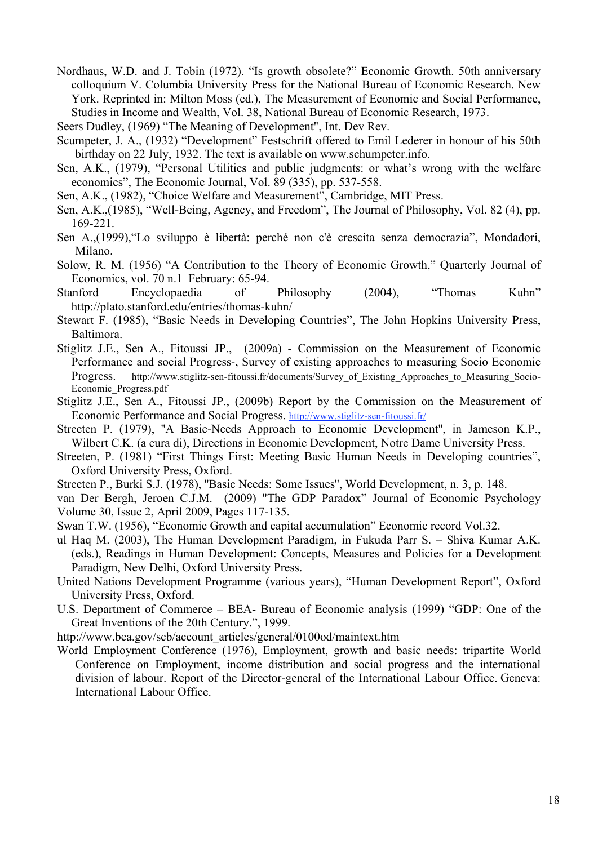- Nordhaus, W.D. and J. Tobin (1972). "Is growth obsolete?" Economic Growth. 50th anniversary colloquium V. Columbia University Press for the National Bureau of Economic Research. New York. Reprinted in: Milton Moss (ed.), The Measurement of Economic and Social Performance, Studies in Income and Wealth, Vol. 38, National Bureau of Economic Research, 1973.
- Seers Dudley, (1969) "The Meaning of Development", Int. Dev Rev.
- Scumpeter, J. A., (1932) "Development" Festschrift offered to Emil Lederer in honour of his 50th birthday on 22 July, 1932. The text is available on www.schumpeter.info.
- Sen, A.K., (1979), "Personal Utilities and public judgments: or what's wrong with the welfare economics", The Economic Journal, Vol. 89 (335), pp. 537-558.
- Sen, A.K., (1982), "Choice Welfare and Measurement", Cambridge, MIT Press.
- Sen, A.K.,(1985), "Well-Being, Agency, and Freedom", The Journal of Philosophy, Vol. 82 (4), pp. 169-221.
- Sen A.,(1999),"Lo sviluppo è libertà: perché non c'è crescita senza democrazia", Mondadori, Milano.
- Solow, R. M. (1956) "A Contribution to the Theory of Economic Growth," Quarterly Journal of Economics, vol. 70 n.1 February: 65-94.
- Stanford Encyclopaedia of Philosophy (2004), "Thomas Kuhn" http://plato.stanford.edu/entries/thomas-kuhn/
- Stewart F. (1985), "Basic Needs in Developing Countries", The John Hopkins University Press, Baltimora.
- Stiglitz J.E., Sen A., Fitoussi JP., (2009a) Commission on the Measurement of Economic Performance and social Progress-, Survey of existing approaches to measuring Socio Economic Progress. http://www.stiglitz-sen-fitoussi.fr/documents/Survey of Existing Approaches to Measuring Socio-Economic\_Progress.pdf
- Stiglitz J.E., Sen A., Fitoussi JP., (2009b) Report by the Commission on the Measurement of Economic Performance and Social Progress. http://www.stiglitz-sen-fitoussi.fr/
- Streeten P. (1979), ''A Basic-Needs Approach to Economic Development'', in Jameson K.P., Wilbert C.K. (a cura di), Directions in Economic Development, Notre Dame University Press.
- Streeten, P. (1981) "First Things First: Meeting Basic Human Needs in Developing countries", Oxford University Press, Oxford.
- Streeten P., Burki S.J. (1978), ''Basic Needs: Some Issues'', World Development, n. 3, p. 148.
- van Der Bergh, Jeroen C.J.M. (2009) "The GDP Paradox" Journal of Economic Psychology Volume 30, Issue 2, April 2009, Pages 117-135.
- Swan T.W. (1956), "Economic Growth and capital accumulation" Economic record Vol.32.
- ul Haq M. (2003), The Human Development Paradigm, in Fukuda Parr S. Shiva Kumar A.K. (eds.), Readings in Human Development: Concepts, Measures and Policies for a Development Paradigm, New Delhi, Oxford University Press.
- United Nations Development Programme (various years), "Human Development Report", Oxford University Press, Oxford.
- U.S. Department of Commerce BEA- Bureau of Economic analysis (1999) "GDP: One of the Great Inventions of the 20th Century.", 1999.
- http://www.bea.gov/scb/account\_articles/general/0100od/maintext.htm
- World Employment Conference (1976), Employment, growth and basic needs: tripartite World Conference on Employment, income distribution and social progress and the international division of labour. Report of the Director-general of the International Labour Office. Geneva: International Labour Office.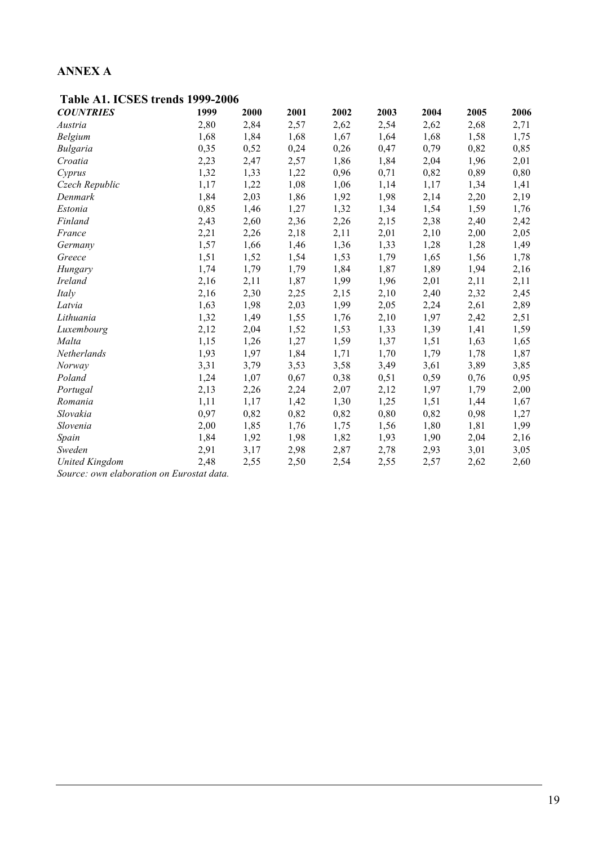# **ANNEX A**

| <b>COUNTRIES</b>      | 1999 | 2000 | 2001 | 2002 | 2003 | 2004 | 2005 | 2006 |
|-----------------------|------|------|------|------|------|------|------|------|
| Austria               | 2,80 | 2,84 | 2,57 | 2,62 | 2,54 | 2,62 | 2,68 | 2,71 |
| Belgium               | 1,68 | 1,84 | 1,68 | 1,67 | 1,64 | 1,68 | 1,58 | 1,75 |
| <b>Bulgaria</b>       | 0,35 | 0,52 | 0,24 | 0,26 | 0,47 | 0,79 | 0,82 | 0,85 |
| Croatia               | 2,23 | 2,47 | 2,57 | 1,86 | 1,84 | 2,04 | 1,96 | 2,01 |
| Cyprus                | 1,32 | 1,33 | 1,22 | 0,96 | 0,71 | 0,82 | 0,89 | 0,80 |
| Czech Republic        | 1,17 | 1,22 | 1,08 | 1,06 | 1,14 | 1,17 | 1,34 | 1,41 |
| Denmark               | 1,84 | 2,03 | 1,86 | 1,92 | 1,98 | 2,14 | 2,20 | 2,19 |
| Estonia               | 0,85 | 1,46 | 1,27 | 1,32 | 1,34 | 1,54 | 1,59 | 1,76 |
| Finland               | 2,43 | 2,60 | 2,36 | 2,26 | 2,15 | 2,38 | 2,40 | 2,42 |
| France                | 2,21 | 2,26 | 2,18 | 2,11 | 2,01 | 2,10 | 2,00 | 2,05 |
| Germany               | 1,57 | 1,66 | 1,46 | 1,36 | 1,33 | 1,28 | 1,28 | 1,49 |
| Greece                | 1,51 | 1,52 | 1,54 | 1,53 | 1,79 | 1,65 | 1,56 | 1,78 |
| Hungary               | 1,74 | 1,79 | 1,79 | 1,84 | 1,87 | 1,89 | 1,94 | 2,16 |
| <b>Ireland</b>        | 2,16 | 2,11 | 1,87 | 1,99 | 1,96 | 2,01 | 2,11 | 2,11 |
| Italy                 | 2,16 | 2,30 | 2,25 | 2,15 | 2,10 | 2,40 | 2,32 | 2,45 |
| Latvia                | 1,63 | 1,98 | 2,03 | 1,99 | 2,05 | 2,24 | 2,61 | 2,89 |
| Lithuania             | 1,32 | 1,49 | 1,55 | 1,76 | 2,10 | 1,97 | 2,42 | 2,51 |
| Luxembourg            | 2,12 | 2,04 | 1,52 | 1,53 | 1,33 | 1,39 | 1,41 | 1,59 |
| Malta                 | 1,15 | 1,26 | 1,27 | 1,59 | 1,37 | 1,51 | 1,63 | 1,65 |
| Netherlands           | 1,93 | 1,97 | 1,84 | 1,71 | 1,70 | 1,79 | 1,78 | 1,87 |
| Norway                | 3,31 | 3,79 | 3,53 | 3,58 | 3,49 | 3,61 | 3,89 | 3,85 |
| Poland                | 1,24 | 1,07 | 0,67 | 0,38 | 0,51 | 0,59 | 0,76 | 0,95 |
| Portugal              | 2,13 | 2,26 | 2,24 | 2,07 | 2,12 | 1,97 | 1,79 | 2,00 |
| Romania               | 1,11 | 1,17 | 1,42 | 1,30 | 1,25 | 1,51 | 1,44 | 1,67 |
| Slovakia              | 0,97 | 0,82 | 0,82 | 0,82 | 0,80 | 0,82 | 0,98 | 1,27 |
| Slovenia              | 2,00 | 1,85 | 1,76 | 1,75 | 1,56 | 1,80 | 1,81 | 1,99 |
| Spain                 | 1,84 | 1,92 | 1,98 | 1,82 | 1,93 | 1,90 | 2,04 | 2,16 |
| Sweden                | 2,91 | 3,17 | 2,98 | 2,87 | 2,78 | 2,93 | 3,01 | 3,05 |
| <b>United Kingdom</b> | 2,48 | 2,55 | 2,50 | 2,54 | 2,55 | 2,57 | 2,62 | 2,60 |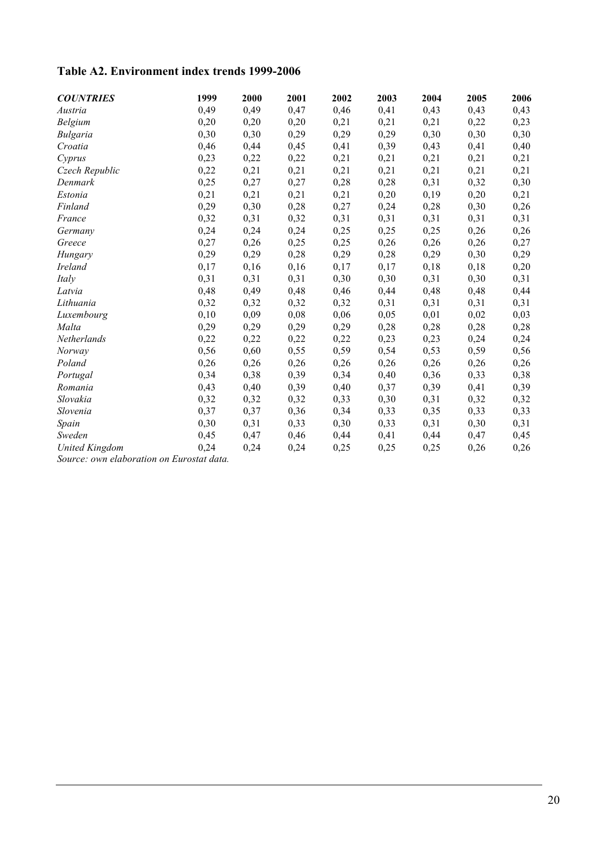# **Table A2. Environment index trends 1999-2006**

| <b>COUNTRIES</b>      | 1999 | 2000 | 2001 | 2002 | 2003 | 2004 | 2005 | 2006 |
|-----------------------|------|------|------|------|------|------|------|------|
| Austria               | 0,49 | 0,49 | 0,47 | 0,46 | 0,41 | 0,43 | 0,43 | 0,43 |
| Belgium               | 0,20 | 0,20 | 0,20 | 0,21 | 0,21 | 0,21 | 0,22 | 0,23 |
| <b>Bulgaria</b>       | 0,30 | 0,30 | 0,29 | 0,29 | 0,29 | 0,30 | 0,30 | 0,30 |
| Croatia               | 0,46 | 0,44 | 0,45 | 0,41 | 0,39 | 0,43 | 0,41 | 0,40 |
| Cyprus                | 0,23 | 0,22 | 0,22 | 0,21 | 0,21 | 0,21 | 0,21 | 0,21 |
| Czech Republic        | 0,22 | 0,21 | 0,21 | 0,21 | 0,21 | 0,21 | 0,21 | 0,21 |
| Denmark               | 0,25 | 0,27 | 0,27 | 0,28 | 0,28 | 0,31 | 0,32 | 0,30 |
| Estonia               | 0,21 | 0,21 | 0,21 | 0,21 | 0,20 | 0,19 | 0,20 | 0,21 |
| Finland               | 0,29 | 0,30 | 0,28 | 0,27 | 0,24 | 0,28 | 0,30 | 0,26 |
| France                | 0,32 | 0,31 | 0,32 | 0,31 | 0,31 | 0,31 | 0,31 | 0,31 |
| Germany               | 0,24 | 0,24 | 0,24 | 0,25 | 0,25 | 0,25 | 0,26 | 0,26 |
| Greece                | 0,27 | 0,26 | 0,25 | 0,25 | 0,26 | 0,26 | 0,26 | 0,27 |
| Hungary               | 0,29 | 0,29 | 0,28 | 0,29 | 0,28 | 0,29 | 0,30 | 0,29 |
| <b>Ireland</b>        | 0,17 | 0,16 | 0,16 | 0,17 | 0,17 | 0,18 | 0,18 | 0,20 |
| Italy                 | 0,31 | 0,31 | 0,31 | 0,30 | 0,30 | 0,31 | 0,30 | 0,31 |
| Latvia                | 0,48 | 0,49 | 0,48 | 0,46 | 0,44 | 0,48 | 0,48 | 0,44 |
| Lithuania             | 0,32 | 0,32 | 0,32 | 0,32 | 0,31 | 0,31 | 0,31 | 0,31 |
| Luxembourg            | 0,10 | 0,09 | 0,08 | 0,06 | 0,05 | 0,01 | 0,02 | 0,03 |
| Malta                 | 0,29 | 0,29 | 0,29 | 0,29 | 0,28 | 0,28 | 0,28 | 0,28 |
| Netherlands           | 0,22 | 0,22 | 0,22 | 0,22 | 0,23 | 0,23 | 0,24 | 0,24 |
| Norway                | 0,56 | 0,60 | 0,55 | 0,59 | 0,54 | 0,53 | 0,59 | 0,56 |
| Poland                | 0,26 | 0,26 | 0,26 | 0,26 | 0,26 | 0,26 | 0,26 | 0,26 |
| Portugal              | 0,34 | 0,38 | 0,39 | 0,34 | 0,40 | 0,36 | 0,33 | 0,38 |
| Romania               | 0,43 | 0,40 | 0,39 | 0,40 | 0,37 | 0,39 | 0,41 | 0,39 |
| Slovakia              | 0,32 | 0,32 | 0,32 | 0,33 | 0,30 | 0,31 | 0,32 | 0,32 |
| Slovenia              | 0,37 | 0,37 | 0,36 | 0,34 | 0,33 | 0,35 | 0,33 | 0,33 |
| Spain                 | 0,30 | 0,31 | 0,33 | 0,30 | 0,33 | 0,31 | 0,30 | 0,31 |
| Sweden                | 0,45 | 0,47 | 0,46 | 0,44 | 0,41 | 0,44 | 0,47 | 0,45 |
| <b>United Kingdom</b> | 0,24 | 0,24 | 0,24 | 0,25 | 0,25 | 0,25 | 0,26 | 0,26 |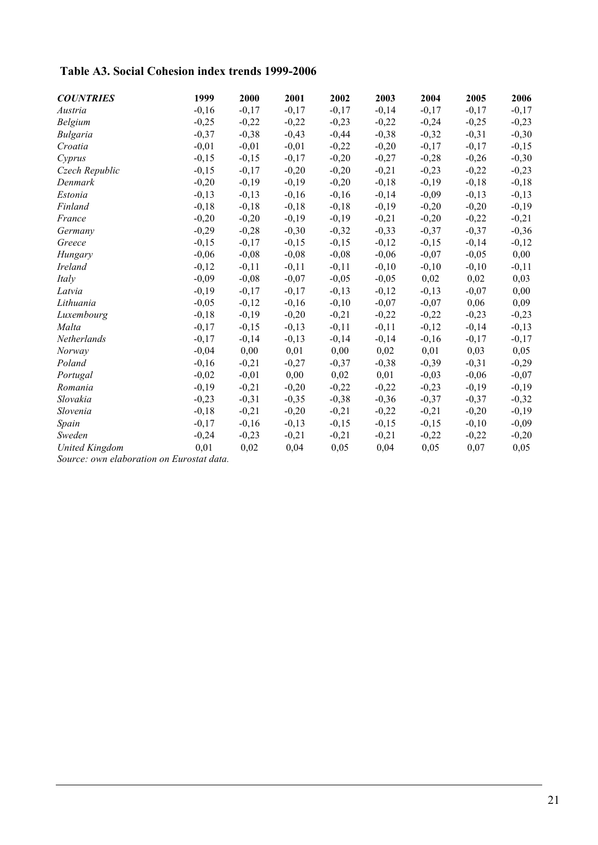# **Table A3. Social Cohesion index trends 1999-2006**

| <b>COUNTRIES</b>      | 1999    | 2000    | 2001    | 2002    | 2003    | 2004    | 2005    | 2006    |
|-----------------------|---------|---------|---------|---------|---------|---------|---------|---------|
| Austria               | $-0,16$ | $-0,17$ | $-0,17$ | $-0,17$ | $-0,14$ | $-0,17$ | $-0,17$ | $-0,17$ |
| Belgium               | $-0,25$ | $-0,22$ | $-0,22$ | $-0,23$ | $-0,22$ | $-0,24$ | $-0,25$ | $-0,23$ |
| <b>Bulgaria</b>       | $-0,37$ | $-0,38$ | $-0,43$ | $-0,44$ | $-0,38$ | $-0,32$ | $-0,31$ | $-0,30$ |
| Croatia               | $-0,01$ | $-0,01$ | $-0,01$ | $-0,22$ | $-0,20$ | $-0,17$ | $-0,17$ | $-0,15$ |
| Cyprus                | $-0,15$ | $-0,15$ | $-0,17$ | $-0,20$ | $-0,27$ | $-0,28$ | $-0,26$ | $-0,30$ |
| Czech Republic        | $-0,15$ | $-0,17$ | $-0,20$ | $-0,20$ | $-0,21$ | $-0,23$ | $-0,22$ | $-0,23$ |
| Denmark               | $-0,20$ | $-0,19$ | $-0,19$ | $-0,20$ | $-0,18$ | $-0,19$ | $-0,18$ | $-0,18$ |
| Estonia               | $-0,13$ | $-0,13$ | $-0,16$ | $-0,16$ | $-0,14$ | $-0,09$ | $-0,13$ | $-0,13$ |
| Finland               | $-0,18$ | $-0,18$ | $-0,18$ | $-0,18$ | $-0,19$ | $-0,20$ | $-0,20$ | $-0,19$ |
| France                | $-0,20$ | $-0,20$ | $-0,19$ | $-0,19$ | $-0,21$ | $-0,20$ | $-0,22$ | $-0,21$ |
| Germany               | $-0,29$ | $-0,28$ | $-0,30$ | $-0,32$ | $-0,33$ | $-0,37$ | $-0,37$ | $-0,36$ |
| Greece                | $-0,15$ | $-0,17$ | $-0,15$ | $-0,15$ | $-0,12$ | $-0,15$ | $-0,14$ | $-0,12$ |
| Hungary               | $-0,06$ | $-0,08$ | $-0,08$ | $-0,08$ | $-0,06$ | $-0,07$ | $-0,05$ | 0,00    |
| <b>Ireland</b>        | $-0,12$ | $-0,11$ | $-0,11$ | $-0,11$ | $-0,10$ | $-0,10$ | $-0,10$ | $-0,11$ |
| Italy                 | $-0,09$ | $-0,08$ | $-0,07$ | $-0,05$ | $-0,05$ | 0,02    | 0,02    | 0,03    |
| Latvia                | $-0,19$ | $-0,17$ | $-0,17$ | $-0,13$ | $-0,12$ | $-0,13$ | $-0,07$ | 0,00    |
| Lithuania             | $-0,05$ | $-0,12$ | $-0,16$ | $-0,10$ | $-0,07$ | $-0,07$ | 0,06    | 0,09    |
| Luxembourg            | $-0,18$ | $-0,19$ | $-0,20$ | $-0,21$ | $-0,22$ | $-0,22$ | $-0,23$ | $-0,23$ |
| Malta                 | $-0,17$ | $-0,15$ | $-0,13$ | $-0,11$ | $-0,11$ | $-0,12$ | $-0,14$ | $-0,13$ |
| Netherlands           | $-0,17$ | $-0,14$ | $-0,13$ | $-0,14$ | $-0,14$ | $-0,16$ | $-0,17$ | $-0,17$ |
| Norway                | $-0,04$ | 0,00    | 0,01    | 0,00    | 0,02    | 0,01    | 0,03    | 0,05    |
| Poland                | $-0,16$ | $-0,21$ | $-0,27$ | $-0,37$ | $-0,38$ | $-0,39$ | $-0,31$ | $-0,29$ |
| Portugal              | $-0,02$ | $-0,01$ | 0,00    | 0,02    | 0,01    | $-0,03$ | $-0,06$ | $-0,07$ |
| Romania               | $-0,19$ | $-0,21$ | $-0,20$ | $-0,22$ | $-0,22$ | $-0,23$ | $-0,19$ | $-0,19$ |
| Slovakia              | $-0,23$ | $-0,31$ | $-0,35$ | $-0,38$ | $-0,36$ | $-0,37$ | $-0,37$ | $-0,32$ |
| Slovenia              | $-0,18$ | $-0,21$ | $-0,20$ | $-0,21$ | $-0,22$ | $-0,21$ | $-0,20$ | $-0,19$ |
| Spain                 | $-0,17$ | $-0,16$ | $-0,13$ | $-0,15$ | $-0,15$ | $-0,15$ | $-0,10$ | $-0,09$ |
| Sweden                | $-0,24$ | $-0,23$ | $-0,21$ | $-0,21$ | $-0,21$ | $-0,22$ | $-0,22$ | $-0,20$ |
| <b>United Kingdom</b> | 0,01    | 0,02    | 0,04    | 0,05    | 0,04    | 0,05    | 0,07    | 0,05    |